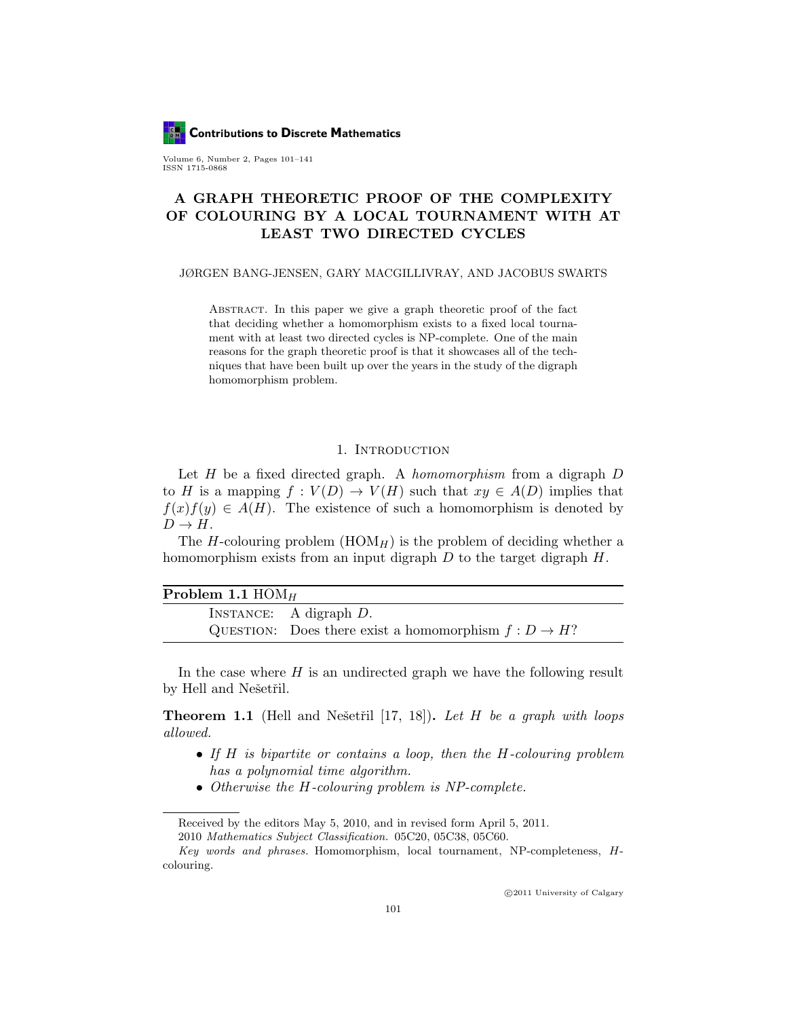**Contributions to Discrete Mathematics** 

Volume 6, Number 2, Pages 101–141 ISSN 1715-0868

# A GRAPH THEORETIC PROOF OF THE COMPLEXITY OF COLOURING BY A LOCAL TOURNAMENT WITH AT LEAST TWO DIRECTED CYCLES

JØRGEN BANG-JENSEN, GARY MACGILLIVRAY, AND JACOBUS SWARTS

Abstract. In this paper we give a graph theoretic proof of the fact that deciding whether a homomorphism exists to a fixed local tournament with at least two directed cycles is NP-complete. One of the main reasons for the graph theoretic proof is that it showcases all of the techniques that have been built up over the years in the study of the digraph homomorphism problem.

# 1. INTRODUCTION

Let  $H$  be a fixed directed graph. A *homomorphism* from a digraph  $D$ to H is a mapping  $f: V(D) \to V(H)$  such that  $xy \in A(D)$  implies that  $f(x)f(y) \in A(H)$ . The existence of such a homomorphism is denoted by  $D \to H$ .

The H-colouring problem  $(HOM_H)$  is the problem of deciding whether a homomorphism exists from an input digraph  $D$  to the target digraph  $H$ .

| INSTANCE: A digraph $D$ .                                |
|----------------------------------------------------------|
| QUESTION: Does there exist a homomorphism $f: D \to H$ ? |

In the case where  $H$  is an undirected graph we have the following result by Hell and Nešetřil.

**Theorem 1.1** (Hell and Nešetřil [17, 18]). Let H be a graph with loops allowed.

- If H is bipartite or contains a loop, then the H-colouring problem has a polynomial time algorithm.
- Otherwise the H-colouring problem is NP-complete.

c 2011 University of Calgary

Received by the editors May 5, 2010, and in revised form April 5, 2011. 2010 Mathematics Subject Classification. 05C20, 05C38, 05C60.

Key words and phrases. Homomorphism, local tournament, NP-completeness, Hcolouring.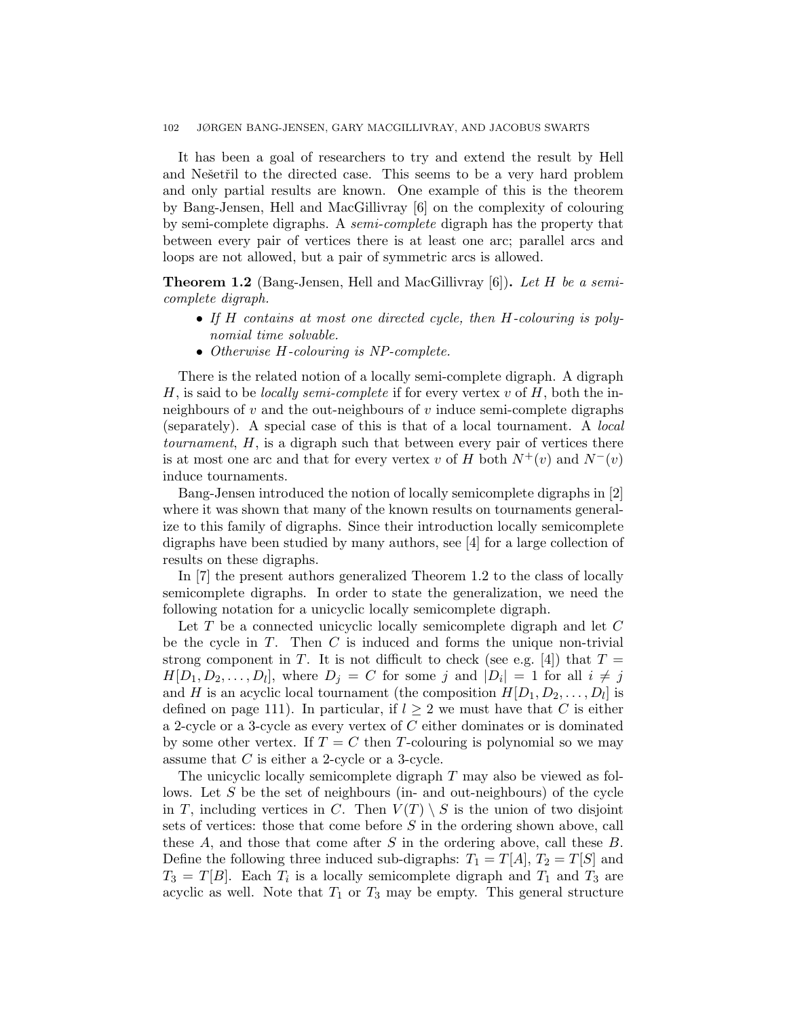It has been a goal of researchers to try and extend the result by Hell and Nešetřil to the directed case. This seems to be a very hard problem and only partial results are known. One example of this is the theorem by Bang-Jensen, Hell and MacGillivray [6] on the complexity of colouring by semi-complete digraphs. A semi-complete digraph has the property that between every pair of vertices there is at least one arc; parallel arcs and loops are not allowed, but a pair of symmetric arcs is allowed.

Theorem 1.2 (Bang-Jensen, Hell and MacGillivray [6]). Let H be a semicomplete digraph.

- If H contains at most one directed cycle, then H-colouring is polynomial time solvable.
- Otherwise H-colouring is NP-complete.

There is the related notion of a locally semi-complete digraph. A digraph H, is said to be *locally semi-complete* if for every vertex v of  $H$ , both the inneighbours of  $v$  and the out-neighbours of  $v$  induce semi-complete digraphs (separately). A special case of this is that of a local tournament. A local tournament, H, is a digraph such that between every pair of vertices there is at most one arc and that for every vertex v of H both  $N^+(v)$  and  $N^-(v)$ induce tournaments.

Bang-Jensen introduced the notion of locally semicomplete digraphs in [2] where it was shown that many of the known results on tournaments generalize to this family of digraphs. Since their introduction locally semicomplete digraphs have been studied by many authors, see [4] for a large collection of results on these digraphs.

In [7] the present authors generalized Theorem 1.2 to the class of locally semicomplete digraphs. In order to state the generalization, we need the following notation for a unicyclic locally semicomplete digraph.

Let T be a connected unicyclic locally semicomplete digraph and let C be the cycle in  $T$ . Then  $C$  is induced and forms the unique non-trivial strong component in T. It is not difficult to check (see e.g. [4]) that  $T =$  $H[D_1, D_2, \ldots, D_l]$ , where  $D_j = C$  for some j and  $|D_i| = 1$  for all  $i \neq j$ and H is an acyclic local tournament (the composition  $H[D_1, D_2, \ldots, D_l]$  is defined on page 111). In particular, if  $l \geq 2$  we must have that C is either a 2-cycle or a 3-cycle as every vertex of  $C$  either dominates or is dominated by some other vertex. If  $T = C$  then T-colouring is polynomial so we may assume that C is either a 2-cycle or a 3-cycle.

The unicyclic locally semicomplete digraph T may also be viewed as follows. Let S be the set of neighbours (in- and out-neighbours) of the cycle in T, including vertices in C. Then  $V(T) \setminus S$  is the union of two disjoint sets of vertices: those that come before S in the ordering shown above, call these  $A$ , and those that come after  $S$  in the ordering above, call these  $B$ . Define the following three induced sub-digraphs:  $T_1 = T[A], T_2 = T[S]$  and  $T_3 = T[B]$ . Each  $T_i$  is a locally semicomplete digraph and  $T_1$  and  $T_3$  are acyclic as well. Note that  $T_1$  or  $T_3$  may be empty. This general structure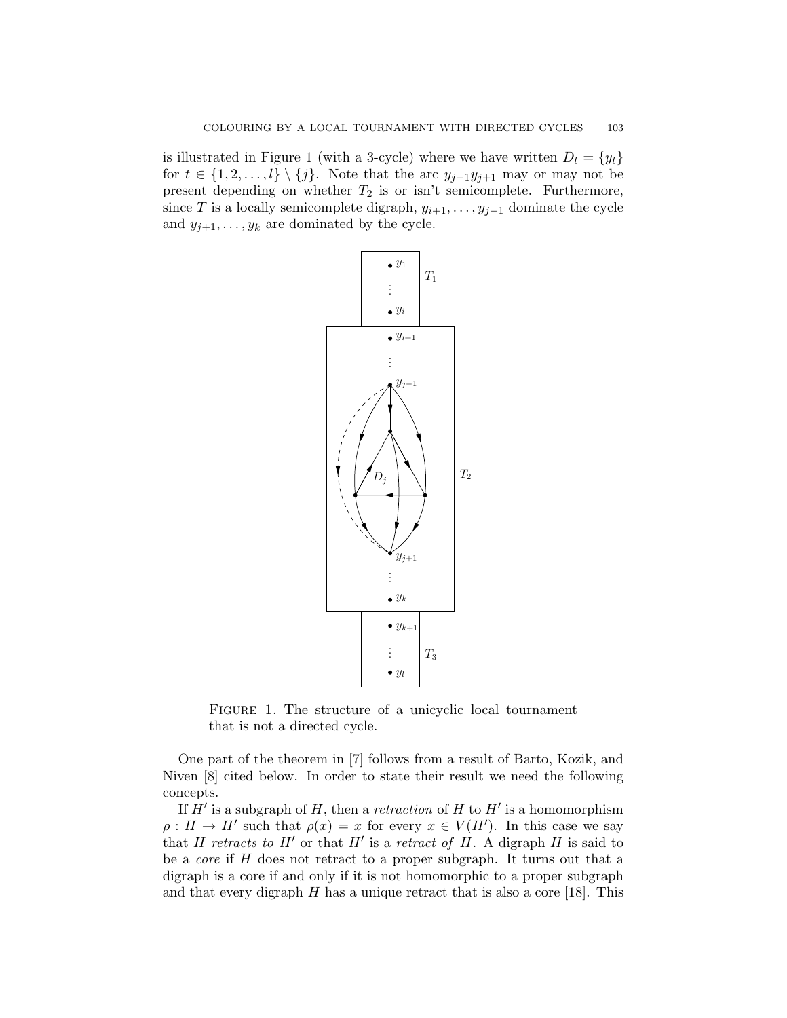is illustrated in Figure 1 (with a 3-cycle) where we have written  $D_t = \{y_t\}$ for  $t \in \{1, 2, \ldots, l\} \setminus \{j\}$ . Note that the arc  $y_{j-1}y_{j+1}$  may or may not be present depending on whether  $T_2$  is or isn't semicomplete. Furthermore, since T is a locally semicomplete digraph,  $y_{i+1}, \ldots, y_{j-1}$  dominate the cycle and  $y_{j+1}, \ldots, y_k$  are dominated by the cycle.



FIGURE 1. The structure of a unicyclic local tournament that is not a directed cycle.

One part of the theorem in [7] follows from a result of Barto, Kozik, and Niven [8] cited below. In order to state their result we need the following concepts.

If  $H'$  is a subgraph of  $H$ , then a *retraction* of  $H$  to  $H'$  is a homomorphism  $\rho: H \to H'$  such that  $\rho(x) = x$  for every  $x \in V(H')$ . In this case we say that H retracts to H' or that H' is a retract of H. A digraph H is said to be a *core* if  $H$  does not retract to a proper subgraph. It turns out that a digraph is a core if and only if it is not homomorphic to a proper subgraph and that every digraph  $H$  has a unique retract that is also a core [18]. This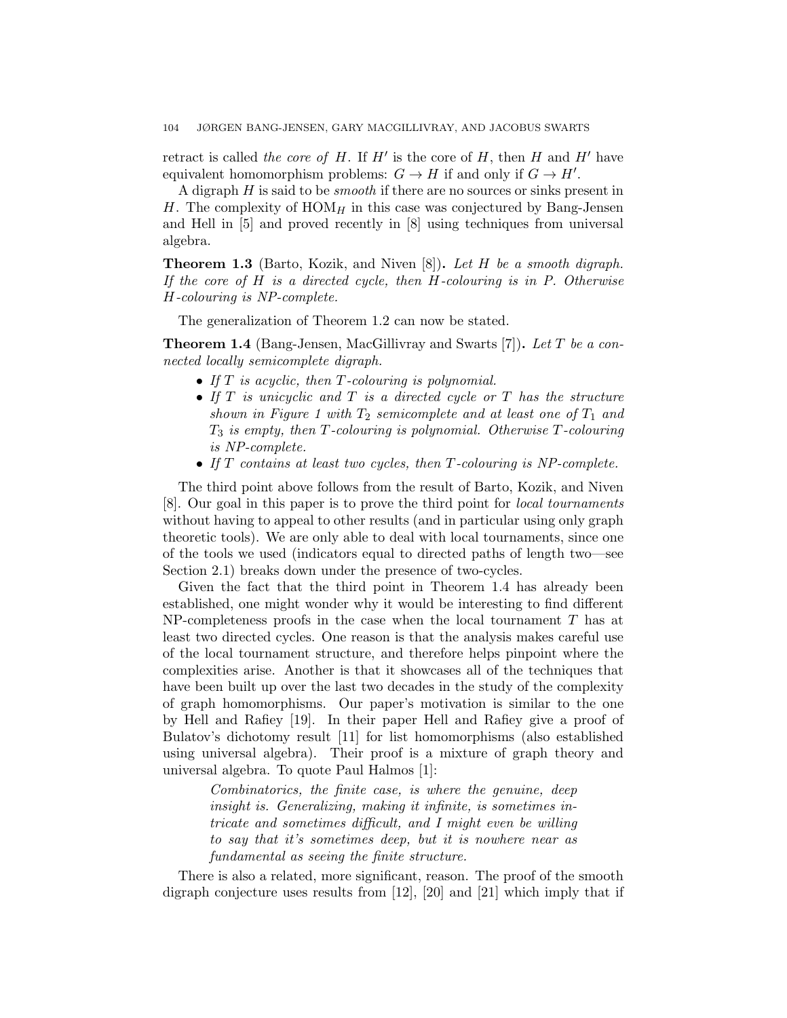retract is called the core of H. If  $H'$  is the core of H, then H and  $H'$  have equivalent homomorphism problems:  $G \to H$  if and only if  $G \to H'$ .

A digraph  $H$  is said to be *smooth* if there are no sources or sinks present in H. The complexity of  $HOM_H$  in this case was conjectured by Bang-Jensen and Hell in [5] and proved recently in [8] using techniques from universal algebra.

**Theorem 1.3** (Barto, Kozik, and Niven  $[8]$ ). Let H be a smooth digraph. If the core of  $H$  is a directed cycle, then  $H$ -colouring is in  $P$ . Otherwise H-colouring is NP-complete.

The generalization of Theorem 1.2 can now be stated.

**Theorem 1.4** (Bang-Jensen, MacGillivray and Swarts [7]). Let T be a connected locally semicomplete digraph.

- If  $T$  is acyclic, then  $T$ -colouring is polynomial.
- If  $T$  is unicyclic and  $T$  is a directed cycle or  $T$  has the structure shown in Figure 1 with  $T_2$  semicomplete and at least one of  $T_1$  and  $T_3$  is empty, then T-colouring is polynomial. Otherwise T-colouring is NP-complete.
- If T contains at least two cycles, then T-colouring is NP-complete.

The third point above follows from the result of Barto, Kozik, and Niven [8]. Our goal in this paper is to prove the third point for local tournaments without having to appeal to other results (and in particular using only graph theoretic tools). We are only able to deal with local tournaments, since one of the tools we used (indicators equal to directed paths of length two—see Section 2.1) breaks down under the presence of two-cycles.

Given the fact that the third point in Theorem 1.4 has already been established, one might wonder why it would be interesting to find different  $NP$ -completeness proofs in the case when the local tournament  $T$  has at least two directed cycles. One reason is that the analysis makes careful use of the local tournament structure, and therefore helps pinpoint where the complexities arise. Another is that it showcases all of the techniques that have been built up over the last two decades in the study of the complexity of graph homomorphisms. Our paper's motivation is similar to the one by Hell and Rafiey [19]. In their paper Hell and Rafiey give a proof of Bulatov's dichotomy result [11] for list homomorphisms (also established using universal algebra). Their proof is a mixture of graph theory and universal algebra. To quote Paul Halmos [1]:

> Combinatorics, the finite case, is where the genuine, deep insight is. Generalizing, making it infinite, is sometimes intricate and sometimes difficult, and I might even be willing to say that it's sometimes deep, but it is nowhere near as fundamental as seeing the finite structure.

There is also a related, more significant, reason. The proof of the smooth digraph conjecture uses results from [12], [20] and [21] which imply that if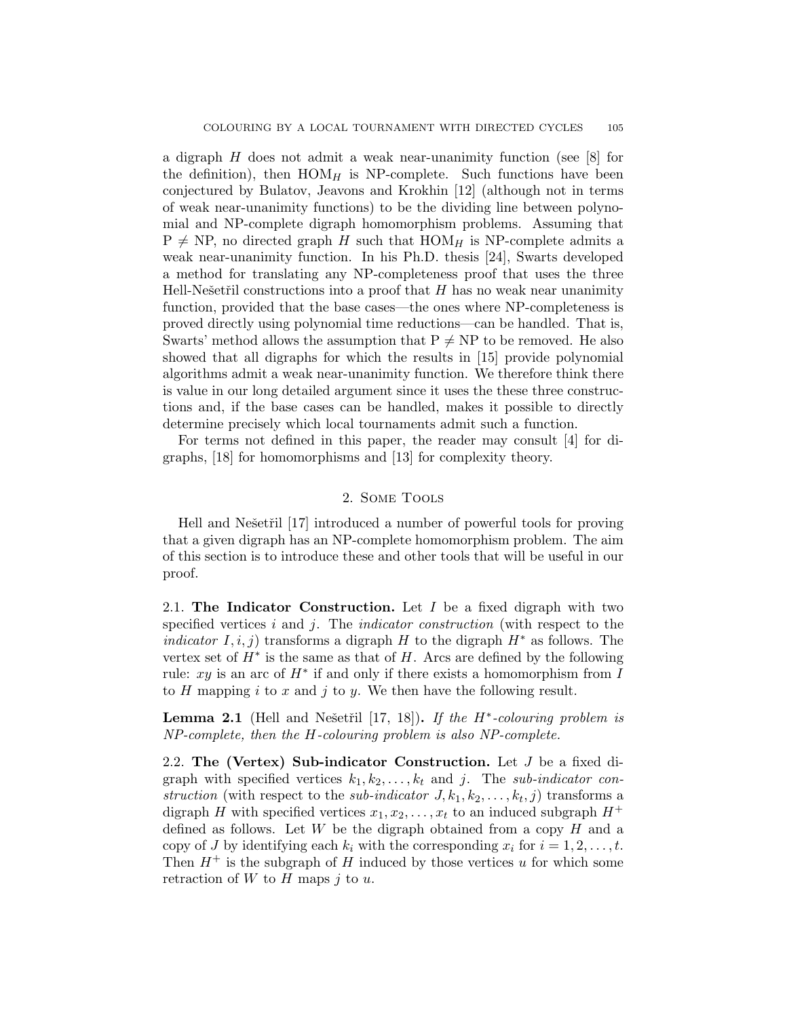a digraph H does not admit a weak near-unanimity function (see [8] for the definition), then  $HOM_H$  is NP-complete. Such functions have been conjectured by Bulatov, Jeavons and Krokhin [12] (although not in terms of weak near-unanimity functions) to be the dividing line between polynomial and NP-complete digraph homomorphism problems. Assuming that  $P \neq NP$ , no directed graph H such that  $HOM_H$  is NP-complete admits a weak near-unanimity function. In his Ph.D. thesis [24], Swarts developed a method for translating any NP-completeness proof that uses the three Hell-Nešetřil constructions into a proof that  $H$  has no weak near unanimity function, provided that the base cases—the ones where NP-completeness is proved directly using polynomial time reductions—can be handled. That is, Swarts' method allows the assumption that  $P \neq NP$  to be removed. He also showed that all digraphs for which the results in [15] provide polynomial algorithms admit a weak near-unanimity function. We therefore think there is value in our long detailed argument since it uses the these three constructions and, if the base cases can be handled, makes it possible to directly determine precisely which local tournaments admit such a function.

For terms not defined in this paper, the reader may consult [4] for digraphs, [18] for homomorphisms and [13] for complexity theory.

# 2. Some Tools

Hell and Nešetřil [17] introduced a number of powerful tools for proving that a given digraph has an NP-complete homomorphism problem. The aim of this section is to introduce these and other tools that will be useful in our proof.

2.1. The Indicator Construction. Let  $I$  be a fixed digraph with two specified vertices i and j. The *indicator construction* (with respect to the *indicator*  $I, i, j$  transforms a digraph H to the digraph  $H^*$  as follows. The vertex set of  $H^*$  is the same as that of  $H$ . Arcs are defined by the following rule: xy is an arc of  $H^*$  if and only if there exists a homomorphism from I to H mapping i to x and j to y. We then have the following result.

**Lemma 2.1** (Hell and Nešetřil [17, 18]). If the  $H^*$ -colouring problem is NP-complete, then the H-colouring problem is also NP-complete.

2.2. The (Vertex) Sub-indicator Construction. Let J be a fixed digraph with specified vertices  $k_1, k_2, \ldots, k_t$  and j. The sub-indicator construction (with respect to the *sub-indicator*  $J, k_1, k_2, \ldots, k_t, j$ ) transforms a digraph H with specified vertices  $x_1, x_2, \ldots, x_t$  to an induced subgraph  $H^+$ defined as follows. Let  $W$  be the digraph obtained from a copy  $H$  and a copy of J by identifying each  $k_i$  with the corresponding  $x_i$  for  $i = 1, 2, \ldots, t$ . Then  $H^+$  is the subgraph of H induced by those vertices u for which some retraction of  $W$  to  $H$  maps  $j$  to  $u$ .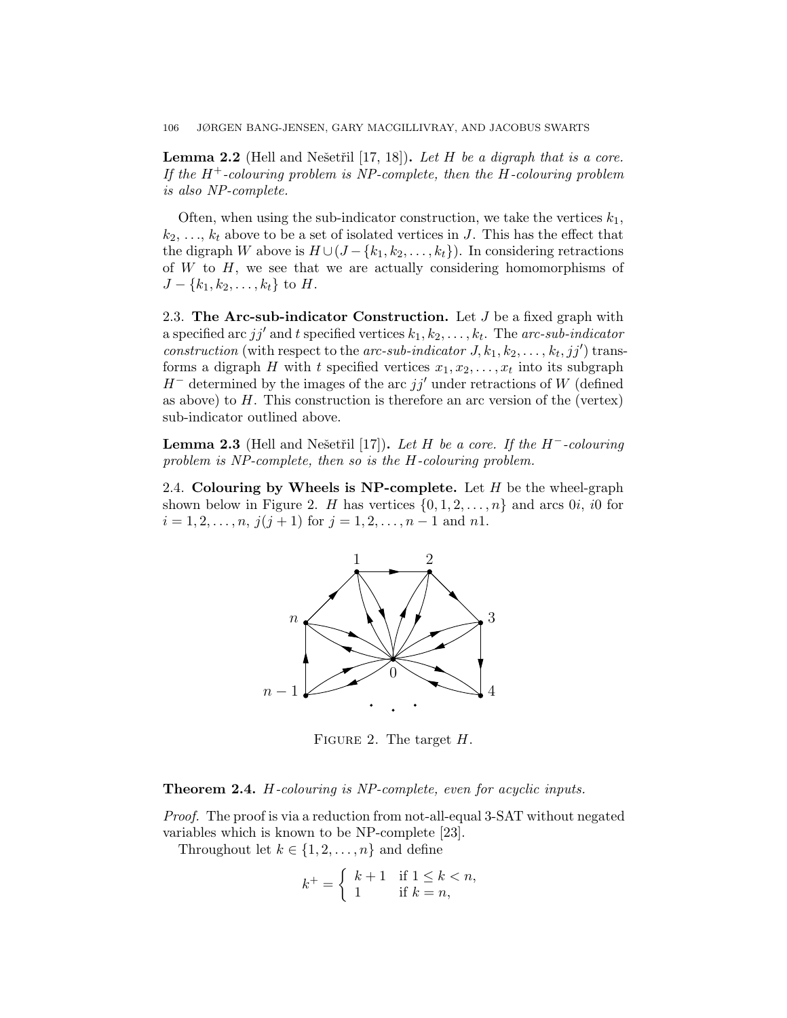106 JØRGEN BANG-JENSEN, GARY MACGILLIVRAY, AND JACOBUS SWARTS

**Lemma 2.2** (Hell and Nešetřil  $[17, 18]$ ). Let H be a digraph that is a core. If the  $H^+$ -colouring problem is NP-complete, then the H-colouring problem is also NP-complete.

Often, when using the sub-indicator construction, we take the vertices  $k_1$ ,  $k_2, \ldots, k_t$  above to be a set of isolated vertices in J. This has the effect that the digraph W above is  $H \cup (J - \{k_1, k_2, \ldots, k_t\})$ . In considering retractions of  $W$  to  $H$ , we see that we are actually considering homomorphisms of  $J - \{k_1, k_2, \ldots, k_t\}$  to H.

2.3. The Arc-sub-indicator Construction. Let  $J$  be a fixed graph with a specified arc jj' and t specified vertices  $k_1, k_2, \ldots, k_t$ . The arc-sub-indicator construction (with respect to the arc-sub-indicator  $J, k_1, k_2, \ldots, k_t, jj'$ ) transforms a digraph H with t specified vertices  $x_1, x_2, \ldots, x_t$  into its subgraph  $H^-$  determined by the images of the arc  $jj'$  under retractions of W (defined as above) to  $H$ . This construction is therefore an arc version of the (vertex) sub-indicator outlined above.

**Lemma 2.3** (Hell and Nešetřil [17]). Let H be a core. If the  $H^-$ -colouring problem is NP-complete, then so is the H-colouring problem.

2.4. Colouring by Wheels is NP-complete. Let  $H$  be the wheel-graph shown below in Figure 2. H has vertices  $\{0, 1, 2, \ldots, n\}$  and arcs  $0i$ , if for  $i = 1, 2, \ldots, n, j(j + 1)$  for  $j = 1, 2, \ldots, n - 1$  and n1.



FIGURE 2. The target  $H$ .

Theorem 2.4. H-colouring is NP-complete, even for acyclic inputs.

Proof. The proof is via a reduction from not-all-equal 3-SAT without negated variables which is known to be NP-complete [23].

Throughout let  $k \in \{1, 2, \ldots, n\}$  and define

$$
k^+ = \begin{cases} k+1 & \text{if } 1 \le k < n, \\ 1 & \text{if } k = n, \end{cases}
$$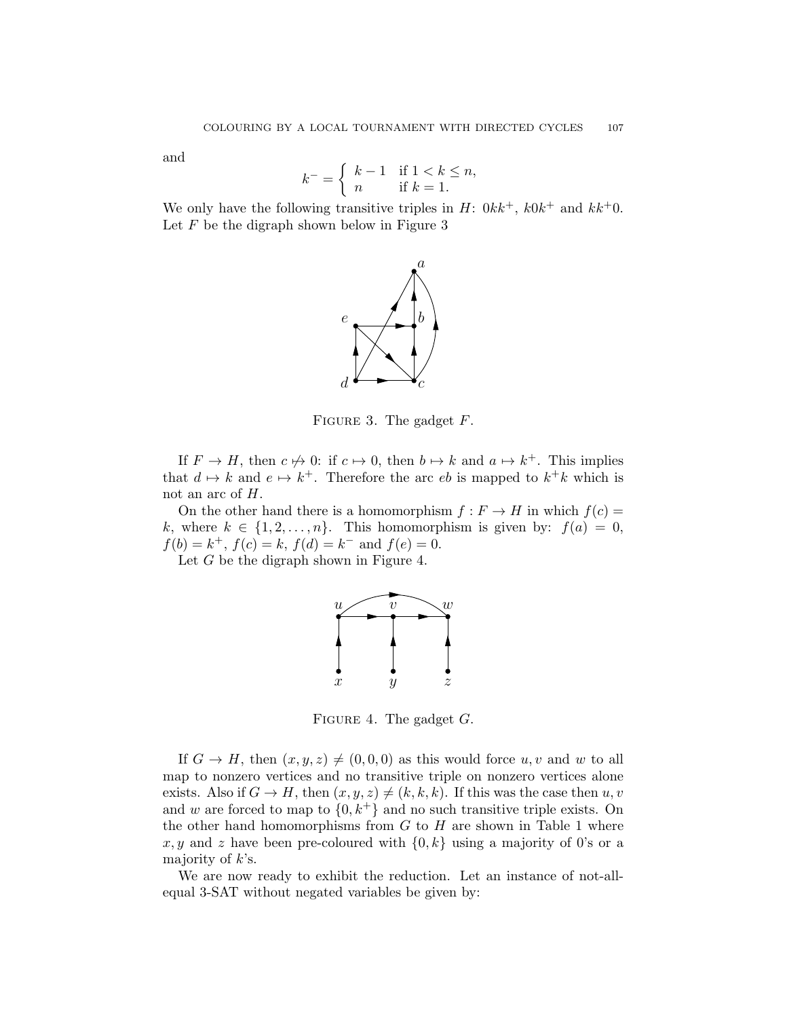and

$$
k^- = \begin{cases} k-1 & \text{if } 1 < k \le n, \\ n & \text{if } k = 1. \end{cases}
$$

We only have the following transitive triples in  $H: 0kk^+$ ,  $k0k^+$  and  $kk^+0$ . Let  $F$  be the digraph shown below in Figure 3



FIGURE 3. The gadget  $F$ .

If  $F \to H$ , then  $c \not\mapsto 0$ : if  $c \mapsto 0$ , then  $b \mapsto k$  and  $a \mapsto k^+$ . This implies that  $d \mapsto k$  and  $e \mapsto k^+$ . Therefore the arc eb is mapped to  $k^+k$  which is not an arc of H.

On the other hand there is a homomorphism  $f : F \to H$  in which  $f(c) =$ k, where  $k \in \{1, 2, ..., n\}$ . This homomorphism is given by:  $f(a) = 0$ ,  $f(b) = k^+, f(c) = k, f(d) = k^-$  and  $f(e) = 0$ .

Let  $G$  be the digraph shown in Figure 4.



FIGURE 4. The gadget  $G$ .

If  $G \to H$ , then  $(x, y, z) \neq (0, 0, 0)$  as this would force  $u, v$  and w to all map to nonzero vertices and no transitive triple on nonzero vertices alone exists. Also if  $G \to H$ , then  $(x, y, z) \neq (k, k, k)$ . If this was the case then  $u, v$ and w are forced to map to  $\{0, k^+\}$  and no such transitive triple exists. On the other hand homomorphisms from  $G$  to  $H$  are shown in Table 1 where x, y and z have been pre-coloured with  $\{0, k\}$  using a majority of 0's or a majority of  $k$ 's.

We are now ready to exhibit the reduction. Let an instance of not-allequal 3-SAT without negated variables be given by: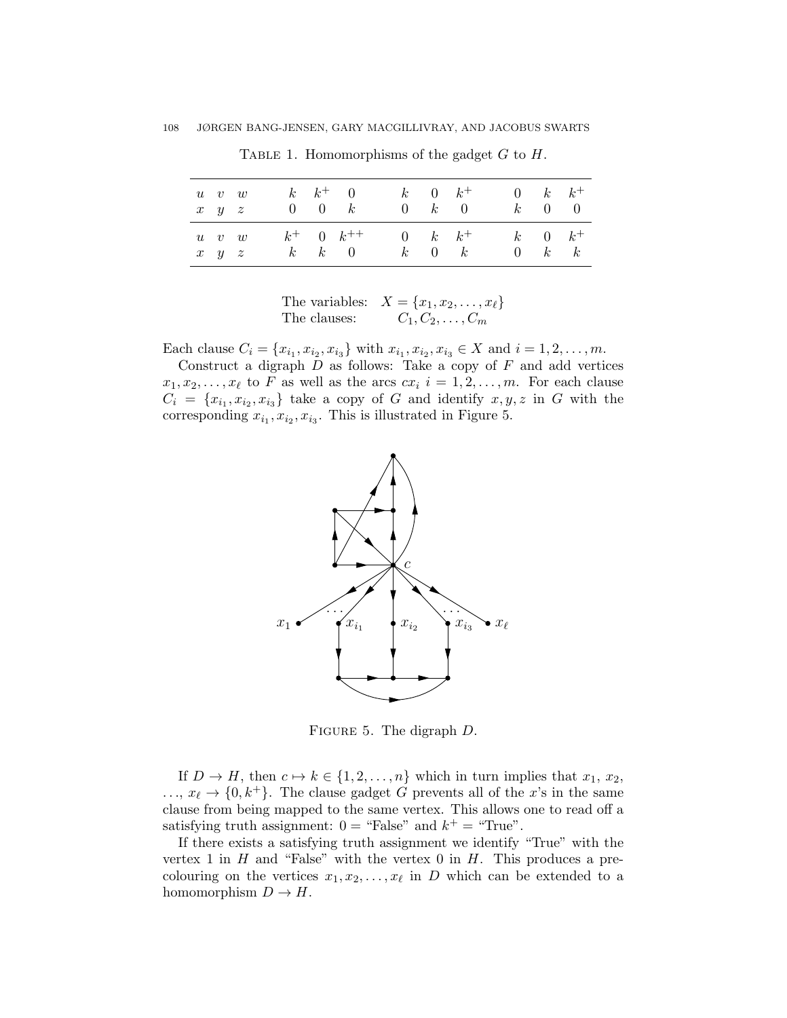| $u \quad v \quad w$<br>$x \quad y \quad z$ |  | $0 \quad 0 \quad k$ | $k \quad k^+ \quad 0$ | $k$ 0 $k^+$ |             | $0 \quad k \quad 0$ | k                             | $0 \ k \ k^+$<br>$0 \quad 0$ |
|--------------------------------------------|--|---------------------|-----------------------|-------------|-------------|---------------------|-------------------------------|------------------------------|
| $u$ v w<br>$x \quad y \quad z$             |  | $k \quad k \quad 0$ | $k^+$ 0 $k^{++}$      |             | $k = 0$ $k$ | 0 $k$ $k^+$         | $k = 0$ $k^+$<br>$\mathbf{0}$ | $k\quad k$                   |

TABLE 1. Homomorphisms of the gadget  $G$  to  $H$ .

The variables:  $X = \{x_1, x_2, \ldots, x_\ell\}$ The clauses:  $C_1, C_2, \ldots, C_m$ 

Each clause  $C_i = \{x_{i_1}, x_{i_2}, x_{i_3}\}$  with  $x_{i_1}, x_{i_2}, x_{i_3} \in X$  and  $i = 1, 2, ..., m$ .

Construct a digraph  $D$  as follows: Take a copy of  $F$  and add vertices  $x_1, x_2, \ldots, x_\ell$  to F as well as the arcs  $cx_i$   $i = 1, 2, \ldots, m$ . For each clause  $C_i = \{x_{i_1}, x_{i_2}, x_{i_3}\}\$  take a copy of G and identify  $x, y, z$  in G with the corresponding  $x_{i_1}, x_{i_2}, x_{i_3}$ . This is illustrated in Figure 5.



FIGURE 5. The digraph  $D$ .

If  $D \to H$ , then  $c \mapsto k \in \{1, 2, \ldots, n\}$  which in turn implies that  $x_1, x_2$ ,  $\ldots, x_{\ell} \to \{0, k^+\}.$  The clause gadget G prevents all of the x's in the same clause from being mapped to the same vertex. This allows one to read off a satisfying truth assignment:  $0 =$  "False" and  $k^+ =$  "True".

If there exists a satisfying truth assignment we identify "True" with the vertex 1 in  $H$  and "False" with the vertex 0 in  $H$ . This produces a precolouring on the vertices  $x_1, x_2, \ldots, x_\ell$  in D which can be extended to a homomorphism  $D \to H$ .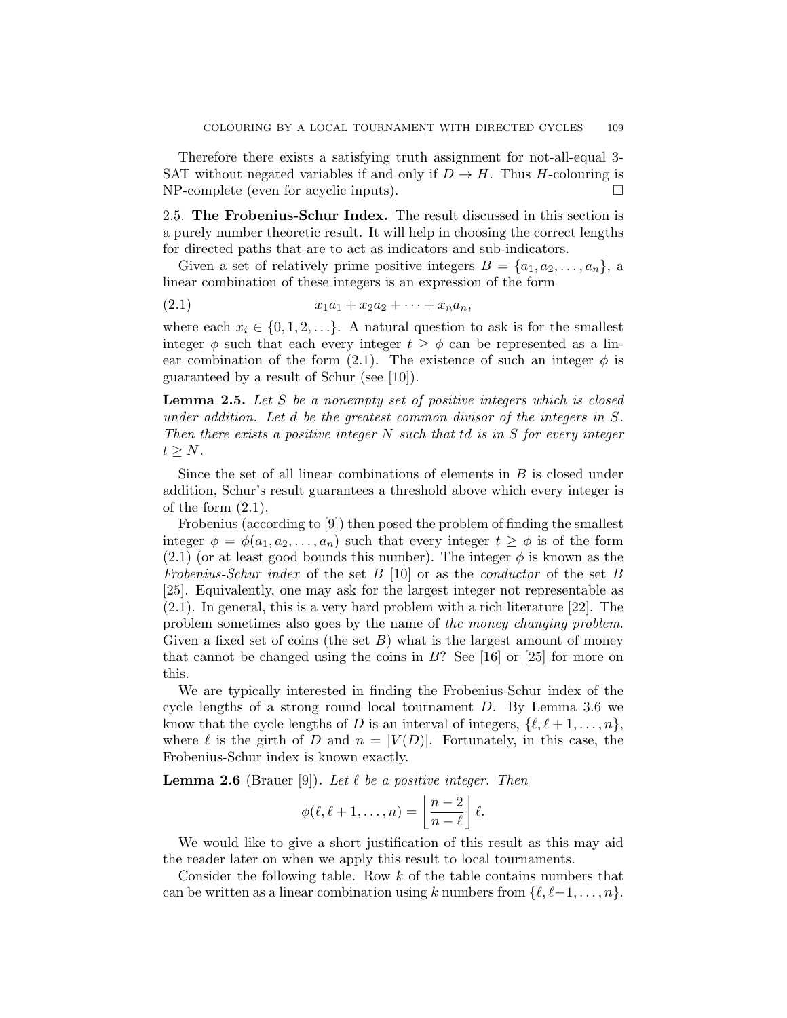Therefore there exists a satisfying truth assignment for not-all-equal 3- SAT without negated variables if and only if  $D \to H$ . Thus H-colouring is NP-complete (even for acyclic inputs).

2.5. The Frobenius-Schur Index. The result discussed in this section is a purely number theoretic result. It will help in choosing the correct lengths for directed paths that are to act as indicators and sub-indicators.

Given a set of relatively prime positive integers  $B = \{a_1, a_2, \ldots, a_n\}$ , a linear combination of these integers is an expression of the form

$$
(2.1) \t\t x_1a_1 + x_2a_2 + \cdots + x_na_n,
$$

where each  $x_i \in \{0, 1, 2, \ldots\}$ . A natural question to ask is for the smallest integer  $\phi$  such that each every integer  $t \geq \phi$  can be represented as a linear combination of the form (2.1). The existence of such an integer  $\phi$  is guaranteed by a result of Schur (see [10]).

**Lemma 2.5.** Let S be a nonempty set of positive integers which is closed under addition. Let d be the greatest common divisor of the integers in S. Then there exists a positive integer N such that td is in S for every integer  $t > N$ .

Since the set of all linear combinations of elements in  $B$  is closed under addition, Schur's result guarantees a threshold above which every integer is of the form  $(2.1)$ .

Frobenius (according to [9]) then posed the problem of finding the smallest integer  $\phi = \phi(a_1, a_2, \ldots, a_n)$  such that every integer  $t \geq \phi$  is of the form (2.1) (or at least good bounds this number). The integer  $\phi$  is known as the Frobenius-Schur index of the set B [10] or as the *conductor* of the set B [25]. Equivalently, one may ask for the largest integer not representable as (2.1). In general, this is a very hard problem with a rich literature [22]. The problem sometimes also goes by the name of the money changing problem. Given a fixed set of coins (the set  $B$ ) what is the largest amount of money that cannot be changed using the coins in  $B$ ? See [16] or [25] for more on this.

We are typically interested in finding the Frobenius-Schur index of the cycle lengths of a strong round local tournament D. By Lemma 3.6 we know that the cycle lengths of D is an interval of integers,  $\{\ell, \ell + 1, \ldots, n\}$ , where  $\ell$  is the girth of D and  $n = |V(D)|$ . Fortunately, in this case, the Frobenius-Schur index is known exactly.

**Lemma 2.6** (Brauer [9]). Let  $\ell$  be a positive integer. Then

$$
\phi(\ell, \ell+1, \ldots, n) = \left\lfloor \frac{n-2}{n-\ell} \right\rfloor \ell.
$$

We would like to give a short justification of this result as this may aid the reader later on when we apply this result to local tournaments.

Consider the following table. Row  $k$  of the table contains numbers that can be written as a linear combination using k numbers from  $\{\ell, \ell+1, \ldots, n\}.$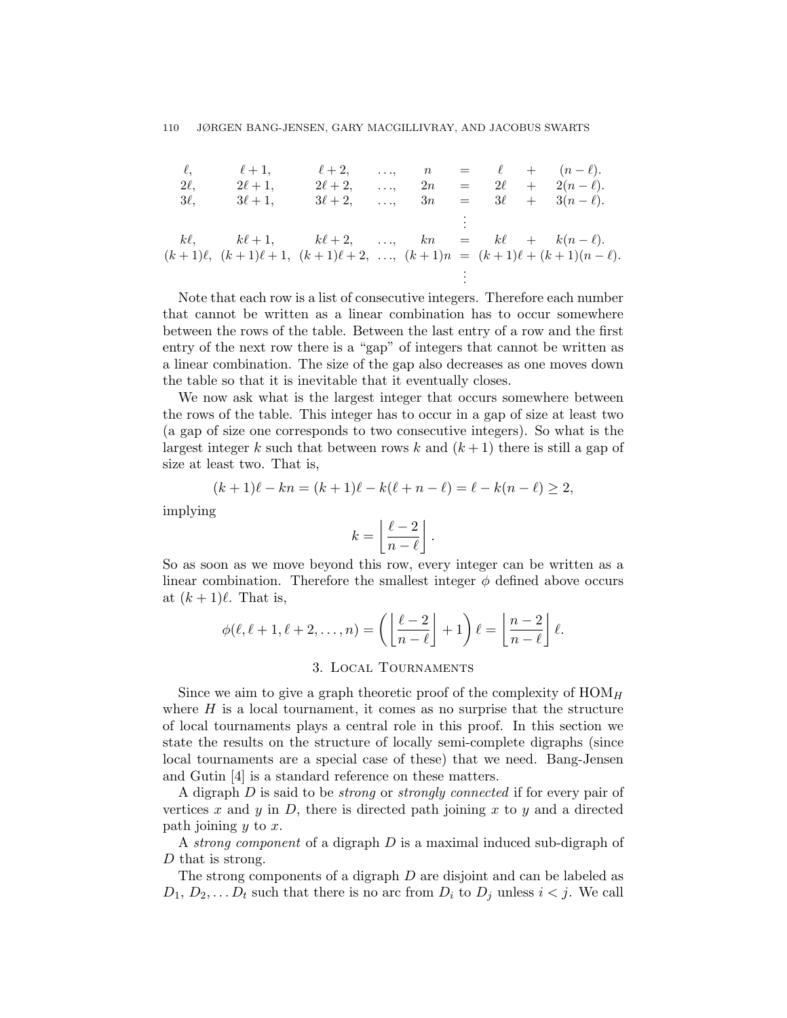$\ell, \qquad \ell+1, \qquad \ell+2, \qquad ..., \qquad n = \ell + (n - \ell).$  $2\ell, \qquad 2\ell + 1, \qquad 2\ell + 2, \qquad \ldots, \qquad 2n = 2\ell + 2(n - \ell).$  $3\ell, \quad 3\ell + 1, \quad 3\ell + 2, \quad \ldots, \quad 3n = 3\ell + 3(n - \ell).$ . . .  $k\ell$ ,  $k\ell + 1$ ,  $k\ell + 2$ , ...,  $kn = k\ell + k(n - \ell)$ .  $(k + 1)\ell$ ,  $(k + 1)\ell + 1$ ,  $(k + 1)\ell + 2$ , ...,  $(k + 1)n = (k + 1)\ell + (k + 1)(n - \ell)$ . . . .

Note that each row is a list of consecutive integers. Therefore each number that cannot be written as a linear combination has to occur somewhere between the rows of the table. Between the last entry of a row and the first entry of the next row there is a "gap" of integers that cannot be written as a linear combination. The size of the gap also decreases as one moves down the table so that it is inevitable that it eventually closes.

We now ask what is the largest integer that occurs somewhere between the rows of the table. This integer has to occur in a gap of size at least two (a gap of size one corresponds to two consecutive integers). So what is the largest integer k such that between rows k and  $(k+1)$  there is still a gap of size at least two. That is,

$$
(k+1)\ell - kn = (k+1)\ell - k(\ell + n - \ell) = \ell - k(n - \ell) \ge 2,
$$

implying

$$
k = \left\lfloor \frac{\ell - 2}{n - \ell} \right\rfloor.
$$

So as soon as we move beyond this row, every integer can be written as a linear combination. Therefore the smallest integer  $\phi$  defined above occurs at  $(k + 1)\ell$ . That is,

$$
\phi(\ell, \ell+1, \ell+2, \ldots, n) = \left( \left\lfloor \frac{\ell-2}{n-\ell} \right\rfloor + 1 \right) \ell = \left\lfloor \frac{n-2}{n-\ell} \right\rfloor \ell.
$$

# 3. Local Tournaments

Since we aim to give a graph theoretic proof of the complexity of  $HOM<sub>H</sub>$ where  $H$  is a local tournament, it comes as no surprise that the structure of local tournaments plays a central role in this proof. In this section we state the results on the structure of locally semi-complete digraphs (since local tournaments are a special case of these) that we need. Bang-Jensen and Gutin [4] is a standard reference on these matters.

A digraph D is said to be strong or strongly connected if for every pair of vertices x and y in  $D$ , there is directed path joining x to y and a directed path joining  $y$  to  $x$ .

A strong component of a digraph  $D$  is a maximal induced sub-digraph of D that is strong.

The strong components of a digraph  $D$  are disjoint and can be labeled as  $D_1, D_2, \ldots, D_t$  such that there is no arc from  $D_i$  to  $D_j$  unless  $i < j$ . We call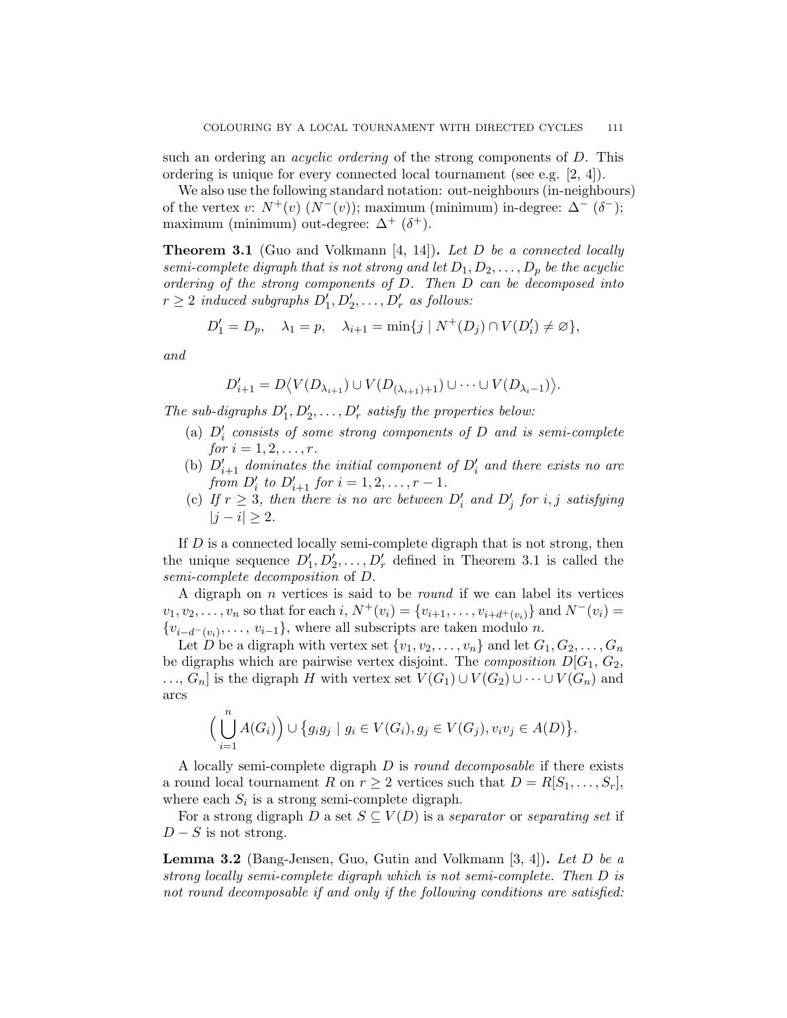such an ordering an *acyclic ordering* of the strong components of D. This ordering is unique for every connected local tournament (see e.g. [2, 4]).

We also use the following standard notation: out-neighbours (in-neighbours) of the vertex v:  $N^+(v)$   $(N^-(v))$ ; maximum (minimum) in-degree:  $\Delta^-(\delta^-)$ ; maximum (minimum) out-degree:  $\Delta^+$  ( $\delta^+$ ).

**Theorem 3.1** (Guo and Volkmann [4, 14]). Let D be a connected locally semi-complete digraph that is not strong and let  $D_1, D_2, \ldots, D_p$  be the acyclic ordering of the strong components of D. Then D can be decomposed into  $r \geq 2$  induced subgraphs  $D'_1, D'_2, \ldots, D'_r$  as follows:

$$
D'_1 = D_p, \quad \lambda_1 = p, \quad \lambda_{i+1} = \min\{j \mid N^+(D_j) \cap V(D'_i) \neq \varnothing\},
$$

and

$$
D'_{i+1} = D \langle V(D_{\lambda_{i+1}}) \cup V(D_{(\lambda_{i+1})+1}) \cup \cdots \cup V(D_{\lambda_i-1}) \rangle.
$$

The sub-digraphs  $D'_1, D'_2, \ldots, D'_r$  satisfy the properties below:

- (a)  $D_i'$  consists of some strong components of  $D$  and is semi-complete for  $i = 1, 2, ..., r$ .
- (b)  $D'_{i+1}$  dominates the initial component of  $D'_{i}$  and there exists no arc from  $D'_i$  to  $D'_{i+1}$  for  $i = 1, 2, ..., r - 1$ .
- (c) If  $r \geq 3$ , then there is no arc between  $D'_i$  and  $D'_j$  for i, j satisfying  $|j - i| \geq 2$ .

If D is a connected locally semi-complete digraph that is not strong, then the unique sequence  $D'_1, D'_2, \ldots, D'_r$  defined in Theorem 3.1 is called the semi-complete decomposition of D.

A digraph on  $n$  vertices is said to be *round* if we can label its vertices  $v_1, v_2, \ldots, v_n$  so that for each i,  $N^+(v_i) = \{v_{i+1}, \ldots, v_{i+d^+(v_i)}\}$  and  $N^-(v_i) =$  $\{v_{i-d^-(v_i)}, \ldots, v_{i-1}\}\$ , where all subscripts are taken modulo n.

Let D be a digraph with vertex set  $\{v_1, v_2, \ldots, v_n\}$  and let  $G_1, G_2, \ldots, G_n$ be digraphs which are pairwise vertex disjoint. The *composition*  $D[G_1, G_2,$ ...,  $G_n$  is the digraph H with vertex set  $V(G_1) \cup V(G_2) \cup \cdots \cup V(G_n)$  and arcs

$$
\Big(\bigcup_{i=1}^n A(G_i)\Big) \cup \big\{g_i g_j \mid g_i \in V(G_i), g_j \in V(G_j), v_i v_j \in A(D)\big\}.
$$

A locally semi-complete digraph  $D$  is *round decomposable* if there exists a round local tournament R on  $r \geq 2$  vertices such that  $D = R[S_1, \ldots, S_r],$ where each  $S_i$  is a strong semi-complete digraph.

For a strong digraph D a set  $S \subseteq V(D)$  is a separator or separating set if  $D-S$  is not strong.

**Lemma 3.2** (Bang-Jensen, Guo, Gutin and Volkmann  $[3, 4]$ ). Let D be a strong locally semi-complete digraph which is not semi-complete. Then D is not round decomposable if and only if the following conditions are satisfied: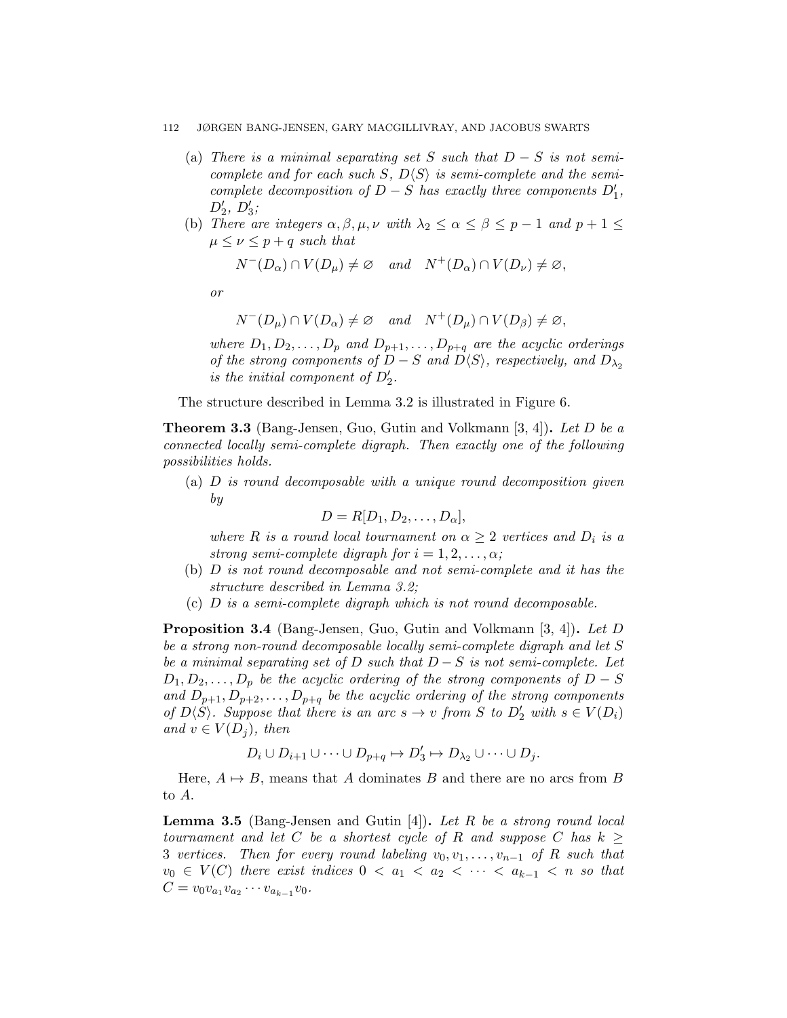- (a) There is a minimal separating set S such that  $D-S$  is not semicomplete and for each such S,  $D\langle S \rangle$  is semi-complete and the semicomplete decomposition of  $D-S$  has exactly three components  $D'_1$ ,  $D'_2, D'_3;$
- (b) There are integers  $\alpha, \beta, \mu, \nu$  with  $\lambda_2 \leq \alpha \leq \beta \leq p-1$  and  $p+1 \leq$  $\mu \leq \nu \leq p+q$  such that

$$
N^{-}(D_{\alpha}) \cap V(D_{\mu}) \neq \varnothing \quad and \quad N^{+}(D_{\alpha}) \cap V(D_{\nu}) \neq \varnothing,
$$

or

$$
N^{-}(D_{\mu}) \cap V(D_{\alpha}) \neq \varnothing \quad and \quad N^{+}(D_{\mu}) \cap V(D_{\beta}) \neq \varnothing,
$$

where  $D_1, D_2, \ldots, D_p$  and  $D_{p+1}, \ldots, D_{p+q}$  are the acyclic orderings of the strong components of  $D-S$  and  $D\langle S \rangle$ , respectively, and  $D_{\lambda_2}$ is the initial component of  $D'_2$ .

The structure described in Lemma 3.2 is illustrated in Figure 6.

**Theorem 3.3** (Bang-Jensen, Guo, Gutin and Volkmann [3, 4]). Let D be a connected locally semi-complete digraph. Then exactly one of the following possibilities holds.

 $(a)$  D is round decomposable with a unique round decomposition given by

$$
D=R[D_1, D_2, \ldots, D_\alpha],
$$

where R is a round local tournament on  $\alpha \geq 2$  vertices and  $D_i$  is a strong semi-complete digraph for  $i = 1, 2, \ldots, \alpha$ ;

- (b) D is not round decomposable and not semi-complete and it has the structure described in Lemma 3.2;
- (c) D is a semi-complete digraph which is not round decomposable.

Proposition 3.4 (Bang-Jensen, Guo, Gutin and Volkmann [3, 4]). Let D be a strong non-round decomposable locally semi-complete digraph and let S be a minimal separating set of D such that  $D-S$  is not semi-complete. Let  $D_1, D_2, \ldots, D_n$  be the acyclic ordering of the strong components of  $D-S$ and  $D_{p+1}, D_{p+2}, \ldots, D_{p+q}$  be the acyclic ordering of the strong components of  $D\langle S \rangle$ . Suppose that there is an arc  $s \to v$  from S to  $D'_2$  with  $s \in V(D_i)$ and  $v \in V(D_i)$ , then

$$
D_i \cup D_{i+1} \cup \cdots \cup D_{p+q} \mapsto D'_3 \mapsto D_{\lambda_2} \cup \cdots \cup D_j.
$$

Here,  $A \mapsto B$ , means that A dominates B and there are no arcs from B to A.

**Lemma 3.5** (Bang-Jensen and Gutin [4]). Let R be a strong round local tournament and let C be a shortest cycle of R and suppose C has  $k \geq$ 3 vertices. Then for every round labeling  $v_0, v_1, \ldots, v_{n-1}$  of R such that  $v_0 \in V(C)$  there exist indices  $0 < a_1 < a_2 < \cdots < a_{k-1} < n$  so that  $C = v_0 v_{a_1} v_{a_2} \cdots v_{a_{k-1}} v_0.$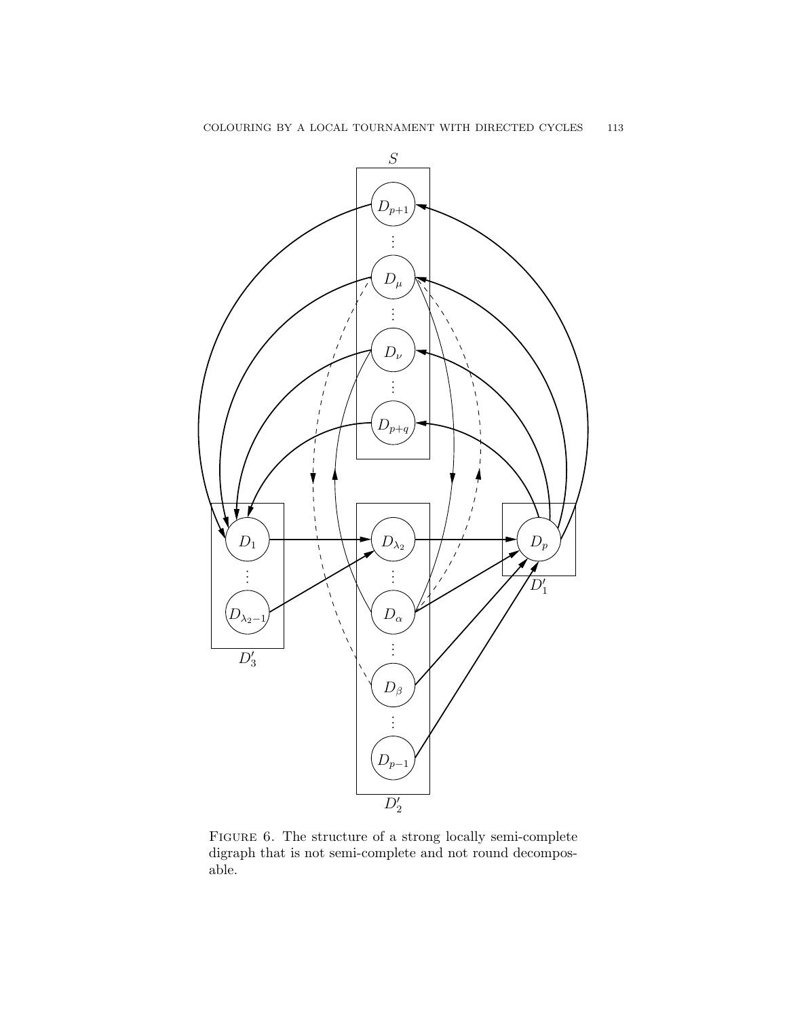

FIGURE 6. The structure of a strong locally semi-complete digraph that is not semi-complete and not round decomposable.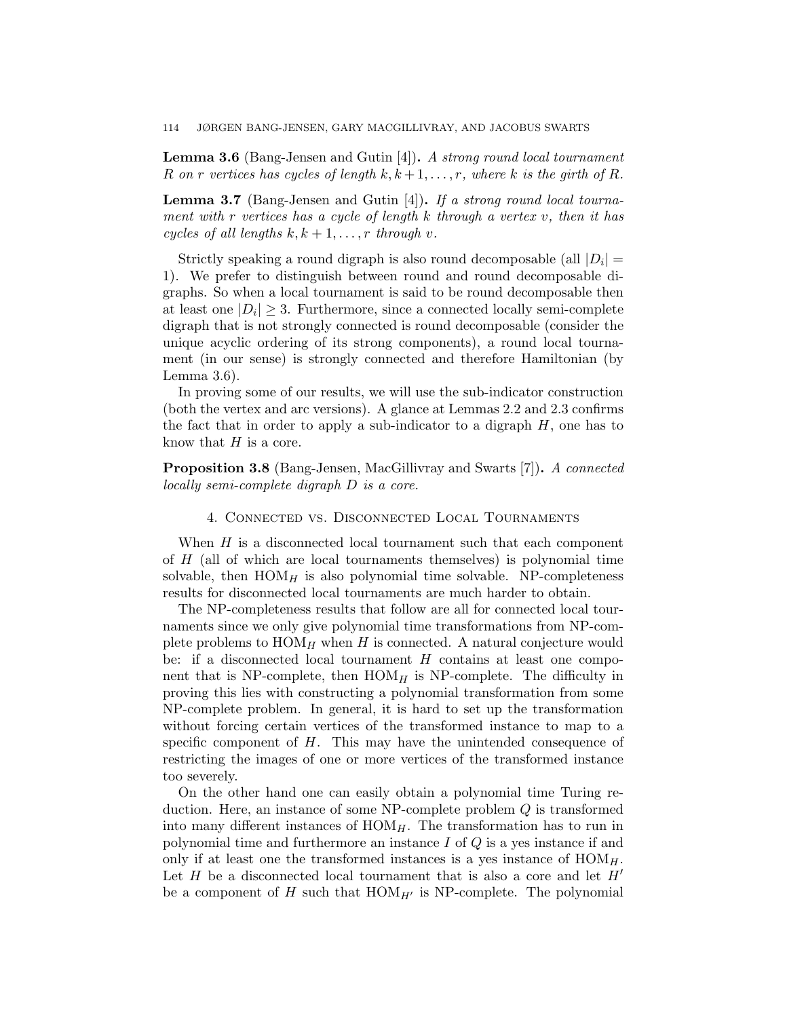**Lemma 3.6** (Bang-Jensen and Gutin  $[4]$ ). A strong round local tournament R on r vertices has cycles of length  $k, k+1, \ldots, r$ , where k is the girth of R.

**Lemma 3.7** (Bang-Jensen and Gutin [4]). If a strong round local tournament with r vertices has a cycle of length k through a vertex v, then it has cycles of all lengths  $k, k+1, \ldots, r$  through v.

Strictly speaking a round digraph is also round decomposable (all  $|D_i|$  = 1). We prefer to distinguish between round and round decomposable digraphs. So when a local tournament is said to be round decomposable then at least one  $|D_i| \geq 3$ . Furthermore, since a connected locally semi-complete digraph that is not strongly connected is round decomposable (consider the unique acyclic ordering of its strong components), a round local tournament (in our sense) is strongly connected and therefore Hamiltonian (by Lemma 3.6).

In proving some of our results, we will use the sub-indicator construction (both the vertex and arc versions). A glance at Lemmas 2.2 and 2.3 confirms the fact that in order to apply a sub-indicator to a digraph  $H$ , one has to know that  $H$  is a core.

Proposition 3.8 (Bang-Jensen, MacGillivray and Swarts [7]). A connected locally semi-complete digraph D is a core.

### 4. Connected vs. Disconnected Local Tournaments

When  $H$  is a disconnected local tournament such that each component of  $H$  (all of which are local tournaments themselves) is polynomial time solvable, then  $HOM_H$  is also polynomial time solvable. NP-completeness results for disconnected local tournaments are much harder to obtain.

The NP-completeness results that follow are all for connected local tournaments since we only give polynomial time transformations from NP-complete problems to  $HOM_H$  when H is connected. A natural conjecture would be: if a disconnected local tournament  $H$  contains at least one component that is NP-complete, then  $HOM_H$  is NP-complete. The difficulty in proving this lies with constructing a polynomial transformation from some NP-complete problem. In general, it is hard to set up the transformation without forcing certain vertices of the transformed instance to map to a specific component of  $H$ . This may have the unintended consequence of restricting the images of one or more vertices of the transformed instance too severely.

On the other hand one can easily obtain a polynomial time Turing reduction. Here, an instance of some NP-complete problem Q is transformed into many different instances of  $HOM<sub>H</sub>$ . The transformation has to run in polynomial time and furthermore an instance  $I$  of  $Q$  is a yes instance if and only if at least one the transformed instances is a yes instance of  $HOM<sub>H</sub>$ . Let  $H$  be a disconnected local tournament that is also a core and let  $H'$ be a component of H such that  $HOM_{H'}$  is NP-complete. The polynomial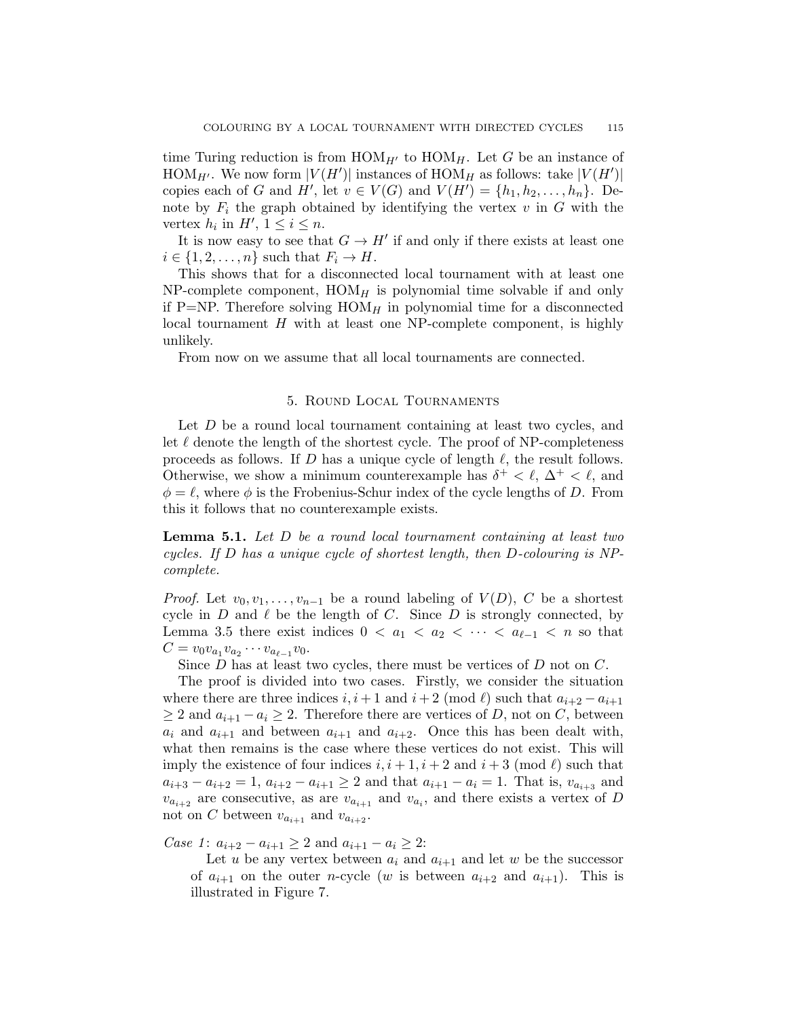time Turing reduction is from  $HOM_{H'}$  to  $HOM_H$ . Let G be an instance of HOM<sub>H'</sub>. We now form  $|V(H')|$  instances of HOM<sub>H</sub> as follows: take  $|V(H')|$ copies each of G and H', let  $v \in V(G)$  and  $V(H') = \{h_1, h_2, \ldots, h_n\}$ . Denote by  $F_i$  the graph obtained by identifying the vertex v in G with the vertex  $h_i$  in  $H'$ ,  $1 \leq i \leq n$ .

It is now easy to see that  $G \to H'$  if and only if there exists at least one  $i \in \{1, 2, \ldots, n\}$  such that  $F_i \to H$ .

This shows that for a disconnected local tournament with at least one NP-complete component,  $HOM_H$  is polynomial time solvable if and only if P=NP. Therefore solving  $HOM_H$  in polynomial time for a disconnected local tournament  $H$  with at least one NP-complete component, is highly unlikely.

From now on we assume that all local tournaments are connected.

### 5. Round Local Tournaments

Let D be a round local tournament containing at least two cycles, and let  $\ell$  denote the length of the shortest cycle. The proof of NP-completeness proceeds as follows. If D has a unique cycle of length  $\ell$ , the result follows. Otherwise, we show a minimum counterexample has  $\delta^+ < \ell$ ,  $\Delta^+ < \ell$ , and  $\phi = \ell$ , where  $\phi$  is the Frobenius-Schur index of the cycle lengths of D. From this it follows that no counterexample exists.

**Lemma 5.1.** Let  $D$  be a round local tournament containing at least two cycles. If D has a unique cycle of shortest length, then D-colouring is NPcomplete.

*Proof.* Let  $v_0, v_1, \ldots, v_{n-1}$  be a round labeling of  $V(D)$ , C be a shortest cycle in  $D$  and  $\ell$  be the length of  $C$ . Since  $D$  is strongly connected, by Lemma 3.5 there exist indices  $0 < a_1 < a_2 < \cdots < a_{\ell-1} < n$  so that  $C = v_0 v_{a_1} v_{a_2} \cdots v_{a_{\ell-1}} v_0.$ 

Since  $D$  has at least two cycles, there must be vertices of  $D$  not on  $C$ .

The proof is divided into two cases. Firstly, we consider the situation where there are three indices  $i, i+1$  and  $i+2 \pmod{k}$  such that  $a_{i+2} - a_{i+1}$  $\geq 2$  and  $a_{i+1} - a_i \geq 2$ . Therefore there are vertices of D, not on C, between  $a_i$  and  $a_{i+1}$  and between  $a_{i+1}$  and  $a_{i+2}$ . Once this has been dealt with, what then remains is the case where these vertices do not exist. This will imply the existence of four indices  $i, i + 1, i + 2$  and  $i + 3 \pmod{\ell}$  such that  $a_{i+3} - a_{i+2} = 1$ ,  $a_{i+2} - a_{i+1} \geq 2$  and that  $a_{i+1} - a_i = 1$ . That is,  $v_{a_{i+3}}$  and  $v_{a_{i+2}}$  are consecutive, as are  $v_{a_{i+1}}$  and  $v_{a_i}$ , and there exists a vertex of D not on C between  $v_{a_{i+1}}$  and  $v_{a_{i+2}}$ .

*Case 1*:  $a_{i+2} - a_{i+1} \geq 2$  and  $a_{i+1} - a_i \geq 2$ :

Let u be any vertex between  $a_i$  and  $a_{i+1}$  and let w be the successor of  $a_{i+1}$  on the outer *n*-cycle (w is between  $a_{i+2}$  and  $a_{i+1}$ ). This is illustrated in Figure 7.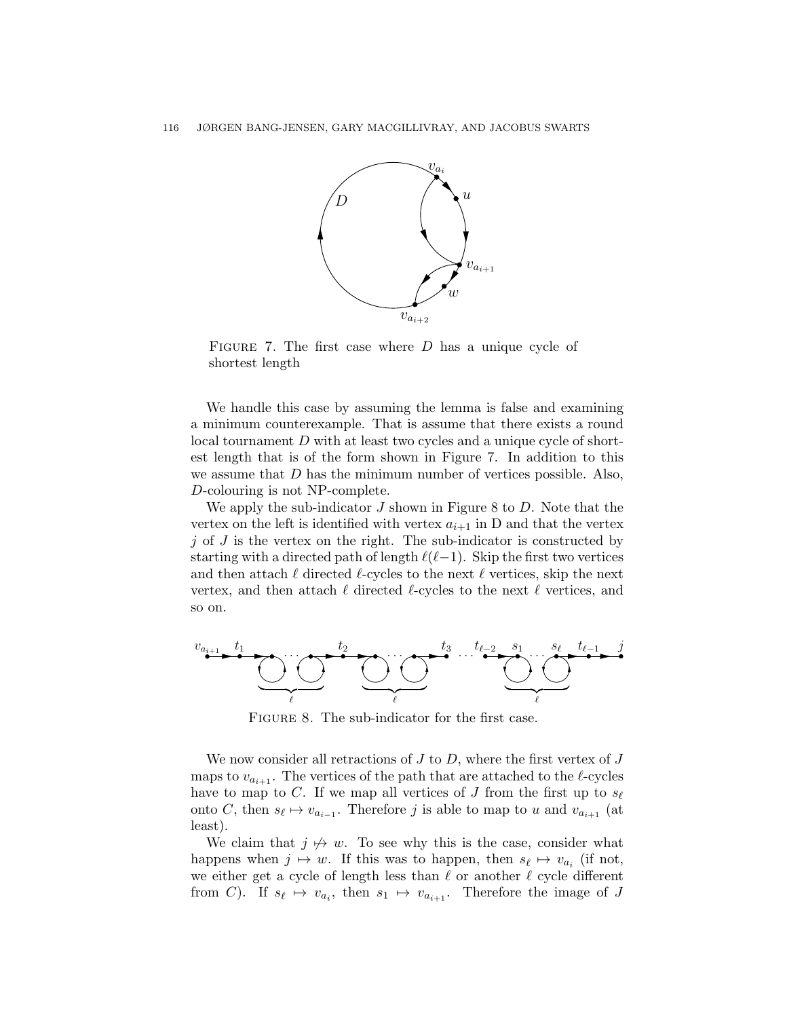

FIGURE 7. The first case where  $D$  has a unique cycle of shortest length

We handle this case by assuming the lemma is false and examining a minimum counterexample. That is assume that there exists a round local tournament D with at least two cycles and a unique cycle of shortest length that is of the form shown in Figure 7. In addition to this we assume that  $D$  has the minimum number of vertices possible. Also, D-colouring is not NP-complete.

We apply the sub-indicator  $J$  shown in Figure 8 to  $D$ . Note that the vertex on the left is identified with vertex  $a_{i+1}$  in D and that the vertex  $j$  of  $J$  is the vertex on the right. The sub-indicator is constructed by starting with a directed path of length  $\ell(\ell-1)$ . Skip the first two vertices and then attach  $\ell$  directed  $\ell$ -cycles to the next  $\ell$  vertices, skip the next vertex, and then attach  $\ell$  directed  $\ell$ -cycles to the next  $\ell$  vertices, and so on.



FIGURE 8. The sub-indicator for the first case.

We now consider all retractions of  $J$  to  $D$ , where the first vertex of  $J$ maps to  $v_{a_{i+1}}$ . The vertices of the path that are attached to the  $\ell$ -cycles have to map to C. If we map all vertices of J from the first up to  $s_{\ell}$ onto C, then  $s_{\ell} \mapsto v_{a_{i-1}}$ . Therefore j is able to map to u and  $v_{a_{i+1}}$  (at least).

We claim that  $j \not\rightarrow w$ . To see why this is the case, consider what happens when  $j \mapsto w$ . If this was to happen, then  $s_{\ell} \mapsto v_{a_i}$  (if not, we either get a cycle of length less than  $\ell$  or another  $\ell$  cycle different from C). If  $s_{\ell} \mapsto v_{a_i}$ , then  $s_1 \mapsto v_{a_{i+1}}$ . Therefore the image of J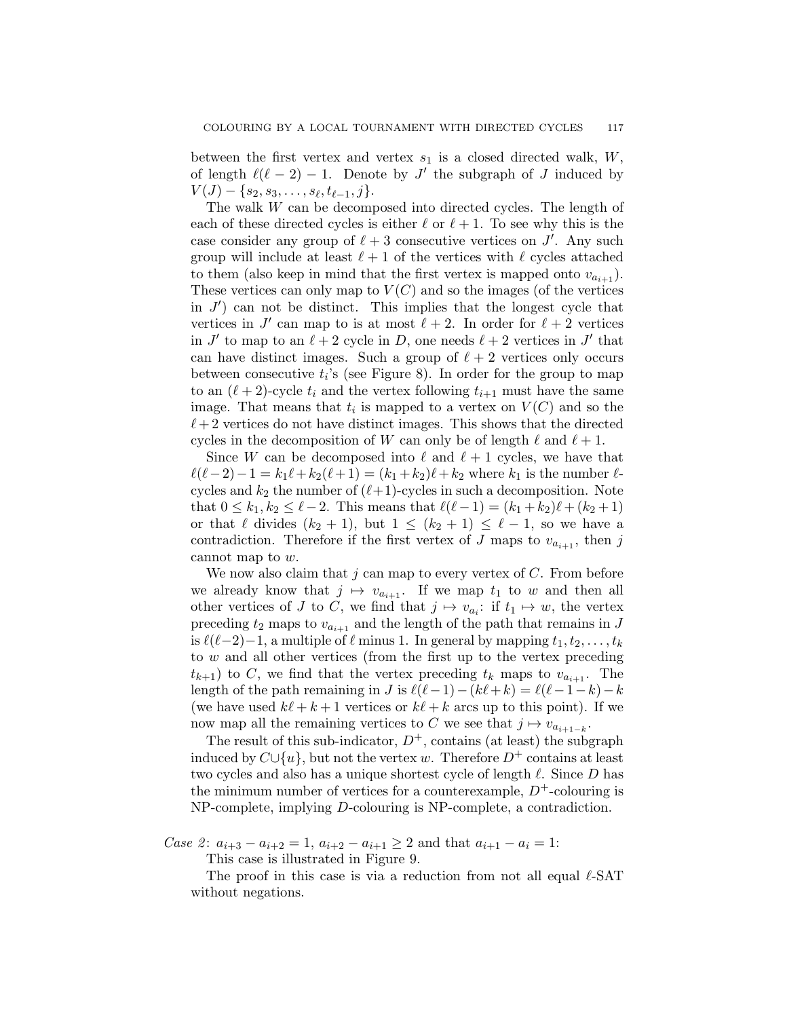between the first vertex and vertex  $s_1$  is a closed directed walk,  $W$ , of length  $\ell(\ell-2) - 1$ . Denote by J' the subgraph of J induced by  $V(J) - \{s_2, s_3, \ldots, s_{\ell}, t_{\ell-1}, j\}.$ 

The walk W can be decomposed into directed cycles. The length of each of these directed cycles is either  $\ell$  or  $\ell + 1$ . To see why this is the case consider any group of  $\ell + 3$  consecutive vertices on  $J'$ . Any such group will include at least  $\ell + 1$  of the vertices with  $\ell$  cycles attached to them (also keep in mind that the first vertex is mapped onto  $v_{a_{i+1}}$ ). These vertices can only map to  $V(C)$  and so the images (of the vertices in  $J'$  can not be distinct. This implies that the longest cycle that vertices in J' can map to is at most  $\ell + 2$ . In order for  $\ell + 2$  vertices in  $J'$  to map to an  $\ell + 2$  cycle in D, one needs  $\ell + 2$  vertices in  $J'$  that can have distinct images. Such a group of  $\ell + 2$  vertices only occurs between consecutive  $t_i$ 's (see Figure 8). In order for the group to map to an  $(\ell + 2)$ -cycle  $t_i$  and the vertex following  $t_{i+1}$  must have the same image. That means that  $t_i$  is mapped to a vertex on  $V(C)$  and so the  $\ell + 2$  vertices do not have distinct images. This shows that the directed cycles in the decomposition of W can only be of length  $\ell$  and  $\ell + 1$ .

Since W can be decomposed into  $\ell$  and  $\ell + 1$  cycles, we have that  $\ell(\ell-2)-1 = k_1\ell + k_2(\ell + 1) = (k_1 + k_2)\ell + k_2$  where  $k_1$  is the number  $\ell$ cycles and  $k_2$  the number of  $(\ell+1)$ -cycles in such a decomposition. Note that  $0 \le k_1, k_2 \le \ell - 2$ . This means that  $\ell(\ell-1) = (k_1 + k_2)\ell + (k_2 + 1)$ or that  $\ell$  divides  $(k_2 + 1)$ , but  $1 \leq (k_2 + 1) \leq \ell - 1$ , so we have a contradiction. Therefore if the first vertex of J maps to  $v_{a_{i+1}}$ , then j cannot map to w.

We now also claim that  $j$  can map to every vertex of  $C$ . From before we already know that  $j \mapsto v_{a_{i+1}}$ . If we map  $t_1$  to w and then all other vertices of J to C, we find that  $j \mapsto v_{a_i}:$  if  $t_1 \mapsto w$ , the vertex preceding  $t_2$  maps to  $v_{a_{i+1}}$  and the length of the path that remains in J is  $\ell(\ell-2)-1$ , a multiple of  $\ell$  minus 1. In general by mapping  $t_1, t_2, \ldots, t_k$ to w and all other vertices (from the first up to the vertex preceding  $t_{k+1}$ ) to C, we find that the vertex preceding  $t_k$  maps to  $v_{a_{i+1}}$ . The length of the path remaining in J is  $\ell(\ell-1)-(k\ell+k) = \ell(\ell-1-k)-k$ (we have used  $k\ell + k + 1$  vertices or  $k\ell + k$  arcs up to this point). If we now map all the remaining vertices to C we see that  $j \mapsto v_{a_{i+1-k}}$ .

The result of this sub-indicator,  $D^+$ , contains (at least) the subgraph induced by  $C\cup \{u\}$ , but not the vertex w. Therefore  $D^+$  contains at least two cycles and also has a unique shortest cycle of length  $\ell$ . Since D has the minimum number of vertices for a counterexample,  $D^+$ -colouring is NP-complete, implying D-colouring is NP-complete, a contradiction.

*Case 2*:  $a_{i+3} - a_{i+2} = 1$ ,  $a_{i+2} - a_{i+1} \geq 2$  and that  $a_{i+1} - a_i = 1$ :

This case is illustrated in Figure 9.

The proof in this case is via a reduction from not all equal  $\ell$ -SAT without negations.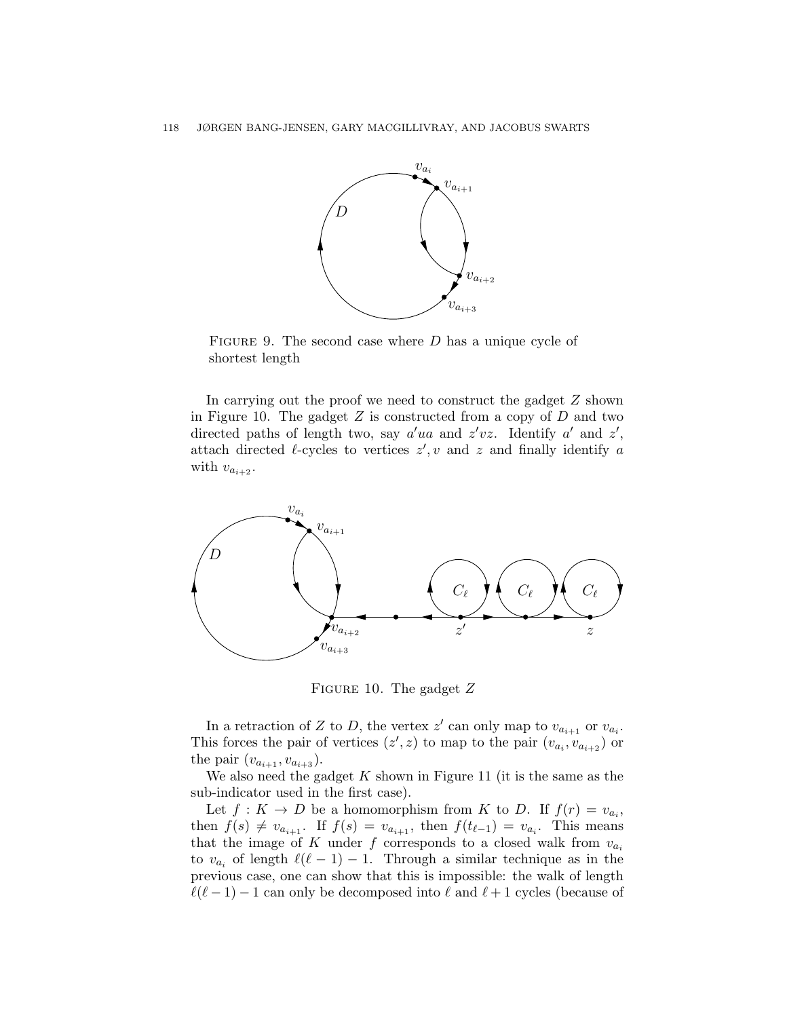

FIGURE 9. The second case where  $D$  has a unique cycle of shortest length

In carrying out the proof we need to construct the gadget Z shown in Figure 10. The gadget  $Z$  is constructed from a copy of  $D$  and two directed paths of length two, say  $a'ua$  and  $z'vz$ . Identify  $a'$  and  $z'$ , attach directed  $\ell$ -cycles to vertices  $z', v$  and  $z$  and finally identify a with  $v_{a_{i+2}}$ .



FIGURE 10. The gadget  $Z$ 

In a retraction of Z to D, the vertex  $z'$  can only map to  $v_{a_{i+1}}$  or  $v_{a_i}$ . This forces the pair of vertices  $(z', z)$  to map to the pair  $(v_{a_i}, v_{a_{i+2}})$  or the pair  $(v_{a_{i+1}}, v_{a_{i+3}})$ .

We also need the gadget  $K$  shown in Figure 11 (it is the same as the sub-indicator used in the first case).

Let  $f: K \to D$  be a homomorphism from K to D. If  $f(r) = v_{a_i}$ , then  $f(s) \neq v_{a_{i+1}}$ . If  $f(s) = v_{a_{i+1}}$ , then  $f(t_{\ell-1}) = v_{a_i}$ . This means that the image of K under f corresponds to a closed walk from  $v_{a_i}$ to  $v_{a_i}$  of length  $\ell(\ell-1) - 1$ . Through a similar technique as in the previous case, one can show that this is impossible: the walk of length  $\ell(\ell - 1) - 1$  can only be decomposed into  $\ell$  and  $\ell + 1$  cycles (because of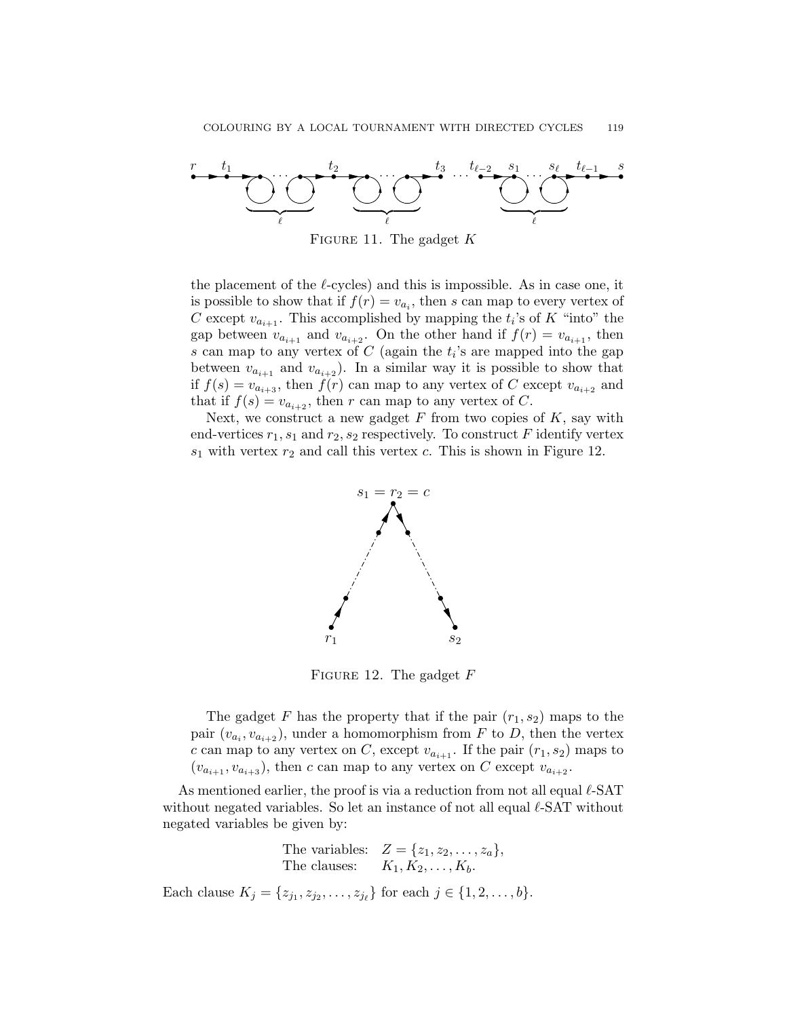

FIGURE 11. The gadget  $K$ 

the placement of the  $\ell$ -cycles) and this is impossible. As in case one, it is possible to show that if  $f(r) = v_{a_i}$ , then s can map to every vertex of C except  $v_{a_{i+1}}$ . This accomplished by mapping the  $t_i$ 's of K "into" the gap between  $v_{a_{i+1}}$  and  $v_{a_{i+2}}$ . On the other hand if  $f(r) = v_{a_{i+1}}$ , then s can map to any vertex of  $C$  (again the  $t_i$ 's are mapped into the gap between  $v_{a_{i+1}}$  and  $v_{a_{i+2}}$ ). In a similar way it is possible to show that if  $f(s) = v_{a_{i+3}}$ , then  $f(r)$  can map to any vertex of C except  $v_{a_{i+2}}$  and that if  $f(s) = v_{a_{i+2}}$ , then r can map to any vertex of C.

Next, we construct a new gadget  $F$  from two copies of  $K$ , say with end-vertices  $r_1$ ,  $s_1$  and  $r_2$ ,  $s_2$  respectively. To construct F identify vertex  $s_1$  with vertex  $r_2$  and call this vertex c. This is shown in Figure 12.



FIGURE 12. The gadget  $F$ 

The gadget F has the property that if the pair  $(r_1, s_2)$  maps to the pair  $(v_{a_i}, v_{a_{i+2}})$ , under a homomorphism from F to D, then the vertex c can map to any vertex on C, except  $v_{a_{i+1}}$ . If the pair  $(r_1, s_2)$  maps to  $(v_{a_{i+1}}, v_{a_{i+3}})$ , then c can map to any vertex on C except  $v_{a_{i+2}}$ .

As mentioned earlier, the proof is via a reduction from not all equal  $\ell$ -SAT without negated variables. So let an instance of not all equal  $\ell$ -SAT without negated variables be given by:

> The variables:  $Z = \{z_1, z_2, \ldots, z_a\},\$ The clauses:  $K_1, K_2, \ldots, K_k$ .

Each clause  $K_j = \{z_{j_1}, z_{j_2}, \ldots, z_{j_\ell}\}\$  for each  $j \in \{1, 2, \ldots, b\}.$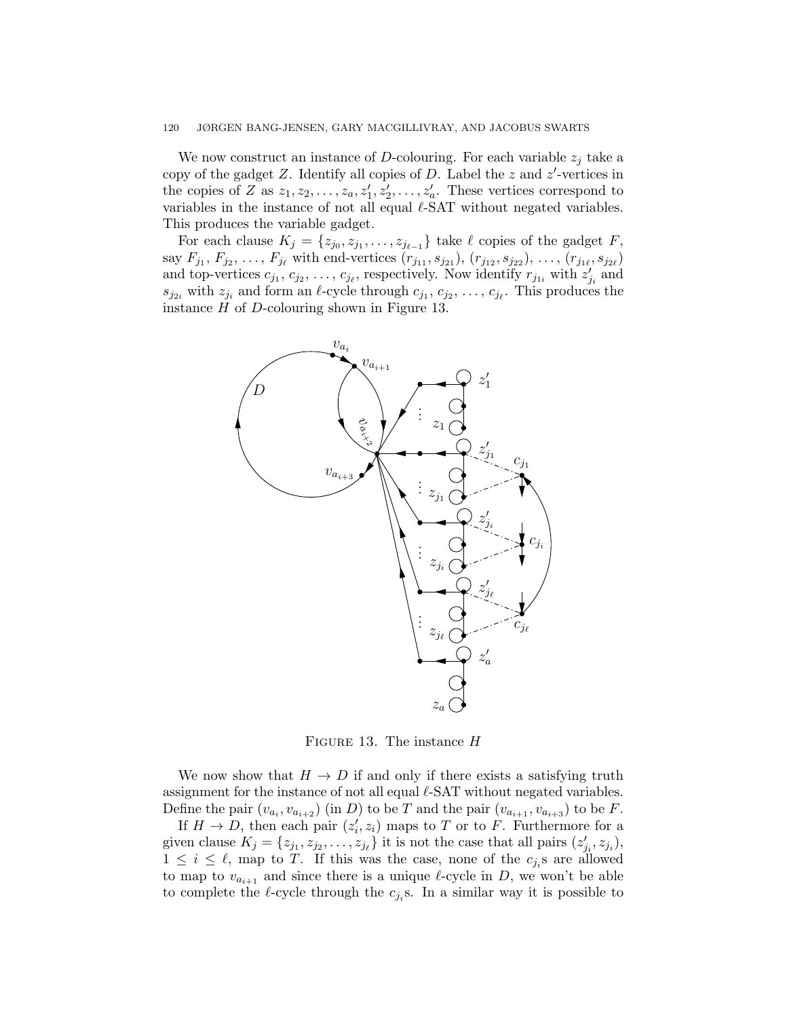#### 120 JØRGEN BANG-JENSEN, GARY MACGILLIVRAY, AND JACOBUS SWARTS

We now construct an instance of D-colouring. For each variable  $z_i$  take a copy of the gadget Z. Identify all copies of D. Label the z and  $z'$ -vertices in the copies of Z as  $z_1, z_2, \ldots, z_a, z'_1, z'_2, \ldots, z'_a$ . These vertices correspond to variables in the instance of not all equal  $\ell$ -SAT without negated variables. This produces the variable gadget.

For each clause  $K_j = \{z_{j_0}, z_{j_1}, \ldots, z_{j_{\ell-1}}\}$  take  $\ell$  copies of the gadget  $F$ , say  $F_{j_1}, F_{j_2}, \ldots, F_{j_\ell}$  with end-vertices  $(r_{j_{11}}, s_{j_{21}}), (r_{j_{12}}, s_{j_{22}}), \ldots, (r_{j_{1\ell}}, s_{j_{2\ell}})$ and top-vertices  $c_{j_1}, c_{j_2}, \ldots, c_{j_\ell}$ , respectively. Now identify  $r_{j_{1i}}$  with  $z'_{j_i}$  and  $s_{j_{2i}}$  with  $z_{j_i}$  and form an  $\ell$ -cycle through  $c_{j_1}, c_{j_2}, \ldots, c_{j_\ell}$ . This produces the instance  $H$  of  $D$ -colouring shown in Figure 13.



FIGURE 13. The instance  $H$ 

We now show that  $H \to D$  if and only if there exists a satisfying truth assignment for the instance of not all equal  $\ell$ -SAT without negated variables. Define the pair  $(v_{a_i}, v_{a_{i+2}})$  (in D) to be T and the pair  $(v_{a_{i+1}}, v_{a_{i+3}})$  to be F.

If  $H \to D$ , then each pair  $(z'_i, z_i)$  maps to T or to F. Furthermore for a given clause  $K_j = \{z_{j_1}, z_{j_2}, \ldots, z_{j_\ell}\}\$ it is not the case that all pairs  $(z'_{j_i}, z_{j_i})$ ,  $1 \leq i \leq \ell$ , map to T. If this was the case, none of the  $c_{j_i}$ s are allowed to map to  $v_{a_{i+1}}$  and since there is a unique  $\ell$ -cycle in D, we won't be able to complete the  $\ell$ -cycle through the  $c_{j_i}$ s. In a similar way it is possible to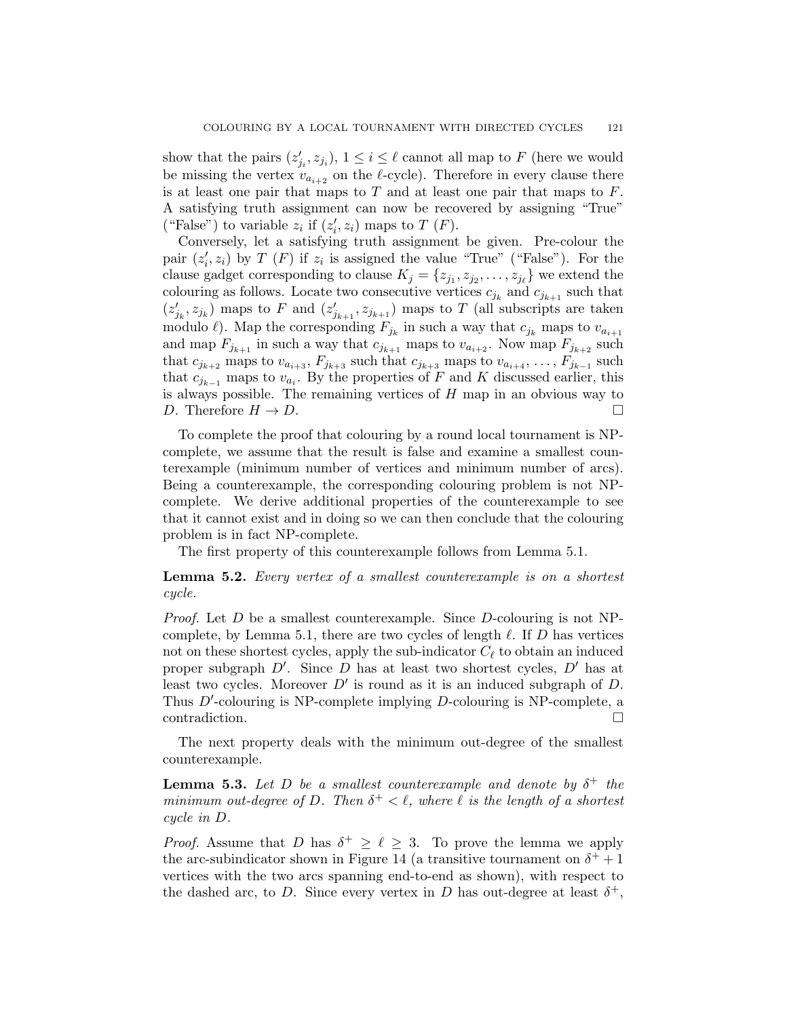show that the pairs  $(z'_{j_i}, z_{j_i}), 1 \leq i \leq \ell$  cannot all map to F (here we would be missing the vertex  $v_{a_{i+2}}$  on the  $\ell$ -cycle). Therefore in every clause there is at least one pair that maps to  $T$  and at least one pair that maps to  $F$ . A satisfying truth assignment can now be recovered by assigning "True" ("False") to variable  $z_i$  if  $(z'_i, z_i)$  maps to  $T$  (F).

Conversely, let a satisfying truth assignment be given. Pre-colour the pair  $(z'_i, z_i)$  by T (F) if  $z_i$  is assigned the value "True" ("False"). For the clause gadget corresponding to clause  $K_j = \{z_{j_1}, z_{j_2}, \ldots, z_{j_\ell}\}\$  we extend the colouring as follows. Locate two consecutive vertices  $c_{j_k}$  and  $c_{j_{k+1}}$  such that  $(z'_{j_k}, z_{j_k})$  maps to F and  $(z'_{j_{k+1}}, z_{j_{k+1}})$  maps to T (all subscripts are taken modulo  $\ell$ ). Map the corresponding  $F_{j_k}$  in such a way that  $c_{j_k}$  maps to  $v_{a_{i+1}}$ and map  $F_{j_{k+1}}$  in such a way that  $c_{j_{k+1}}$  maps to  $v_{a_{i+2}}$ . Now map  $F_{j_{k+2}}$  such that  $c_{j_{k+2}}$  maps to  $v_{a_{i+3}}, F_{j_{k+3}}$  such that  $c_{j_{k+3}}$  maps to  $v_{a_{i+4}}, \ldots, F_{j_{k-1}}$  such that  $c_{j_{k-1}}$  maps to  $v_{a_i}$ . By the properties of F and K discussed earlier, this is always possible. The remaining vertices of  $H$  map in an obvious way to D. Therefore  $H \to D$ .

To complete the proof that colouring by a round local tournament is NPcomplete, we assume that the result is false and examine a smallest counterexample (minimum number of vertices and minimum number of arcs). Being a counterexample, the corresponding colouring problem is not NPcomplete. We derive additional properties of the counterexample to see that it cannot exist and in doing so we can then conclude that the colouring problem is in fact NP-complete.

The first property of this counterexample follows from Lemma 5.1.

**Lemma 5.2.** Every vertex of a smallest counterexample is on a shortest cycle.

*Proof.* Let D be a smallest counterexample. Since D-colouring is not NPcomplete, by Lemma 5.1, there are two cycles of length  $\ell$ . If D has vertices not on these shortest cycles, apply the sub-indicator  $C_{\ell}$  to obtain an induced proper subgraph  $D'$ . Since  $D$  has at least two shortest cycles,  $D'$  has at least two cycles. Moreover  $D'$  is round as it is an induced subgraph of  $D$ . Thus  $D'$ -colouring is NP-complete implying  $D$ -colouring is NP-complete, a contradiction.

The next property deals with the minimum out-degree of the smallest counterexample.

**Lemma 5.3.** Let D be a smallest counterexample and denote by  $\delta^+$  the minimum out-degree of D. Then  $\delta^+ < \ell$ , where  $\ell$  is the length of a shortest cycle in D.

*Proof.* Assume that D has  $\delta^+ \geq \ell \geq 3$ . To prove the lemma we apply the arc-subindicator shown in Figure 14 (a transitive tournament on  $\delta^+ + 1$ vertices with the two arcs spanning end-to-end as shown), with respect to the dashed arc, to D. Since every vertex in D has out-degree at least  $\delta^+$ ,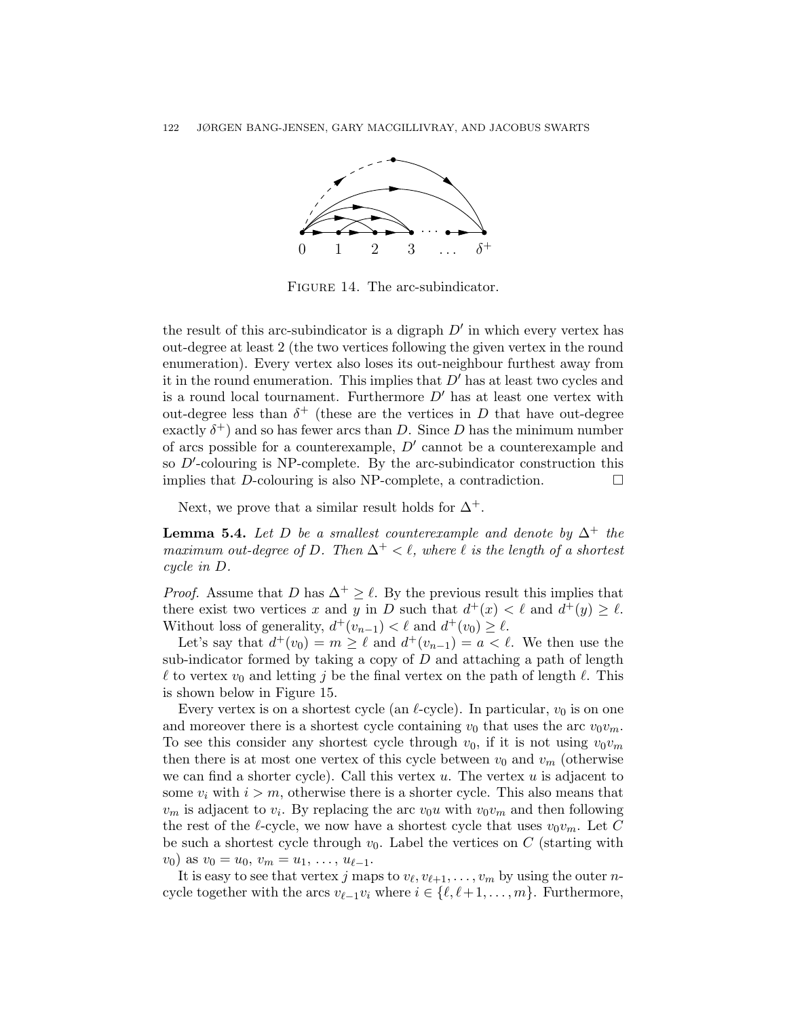

FIGURE 14. The arc-subindicator.

the result of this arc-subindicator is a digraph  $D'$  in which every vertex has out-degree at least 2 (the two vertices following the given vertex in the round enumeration). Every vertex also loses its out-neighbour furthest away from it in the round enumeration. This implies that  $D'$  has at least two cycles and is a round local tournament. Furthermore  $D'$  has at least one vertex with out-degree less than  $\delta^+$  (these are the vertices in D that have out-degree exactly  $\delta^+$ ) and so has fewer arcs than D. Since D has the minimum number of arcs possible for a counterexample,  $D'$  cannot be a counterexample and so  $D'$ -colouring is NP-complete. By the arc-subindicator construction this implies that D-colouring is also NP-complete, a contradiction.  $\Box$ 

Next, we prove that a similar result holds for  $\Delta^+$ .

**Lemma 5.4.** Let D be a smallest counterexample and denote by  $\Delta^+$  the maximum out-degree of D. Then  $\Delta^+ < \ell$ , where  $\ell$  is the length of a shortest cycle in D.

*Proof.* Assume that D has  $\Delta^+ \geq \ell$ . By the previous result this implies that there exist two vertices x and y in D such that  $d^+(x) < \ell$  and  $d^+(y) \geq \ell$ . Without loss of generality,  $d^+(v_{n-1}) < \ell$  and  $d^+(v_0) \ge \ell$ .

Let's say that  $d^+(v_0) = m \geq \ell$  and  $d^+(v_{n-1}) = a < \ell$ . We then use the sub-indicator formed by taking a copy of  $D$  and attaching a path of length  $\ell$  to vertex  $v_0$  and letting j be the final vertex on the path of length  $\ell$ . This is shown below in Figure 15.

Every vertex is on a shortest cycle (an  $\ell$ -cycle). In particular,  $v_0$  is on one and moreover there is a shortest cycle containing  $v_0$  that uses the arc  $v_0v_m$ . To see this consider any shortest cycle through  $v_0$ , if it is not using  $v_0v_m$ then there is at most one vertex of this cycle between  $v_0$  and  $v_m$  (otherwise we can find a shorter cycle). Call this vertex  $u$ . The vertex  $u$  is adjacent to some  $v_i$  with  $i > m$ , otherwise there is a shorter cycle. This also means that  $v_m$  is adjacent to  $v_i$ . By replacing the arc  $v_0u$  with  $v_0v_m$  and then following the rest of the  $\ell$ -cycle, we now have a shortest cycle that uses  $v_0v_m$ . Let C be such a shortest cycle through  $v_0$ . Label the vertices on C (starting with  $v_0$ ) as  $v_0 = u_0, v_m = u_1, \ldots, u_{\ell-1}.$ 

It is easy to see that vertex j maps to  $v_{\ell}, v_{\ell+1}, \ldots, v_m$  by using the outer ncycle together with the arcs  $v_{\ell-1}v_i$  where  $i \in {\ell, \ell+1, ..., m}$ . Furthermore,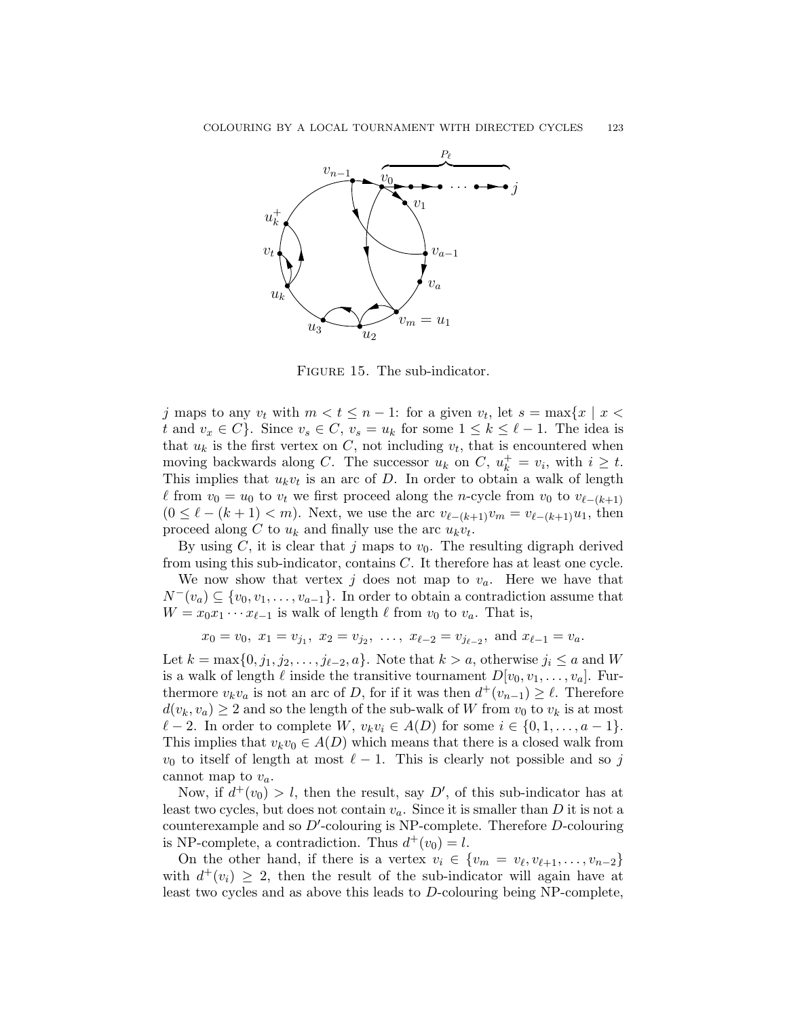

FIGURE 15. The sub-indicator.

j maps to any  $v_t$  with  $m < t \leq n - 1$ : for a given  $v_t$ , let  $s = \max\{x \mid x <$ t and  $v_x \in C$ . Since  $v_s \in C$ ,  $v_s = u_k$  for some  $1 \leq k \leq \ell - 1$ . The idea is that  $u_k$  is the first vertex on C, not including  $v_t$ , that is encountered when moving backwards along C. The successor  $u_k$  on C,  $u_k^+ = v_i$ , with  $i \geq t$ . This implies that  $u_k v_t$  is an arc of D. In order to obtain a walk of length  $\ell$  from  $v_0 = u_0$  to  $v_t$  we first proceed along the n-cycle from  $v_0$  to  $v_{\ell-(k+1)}$  $(0 \le \ell - (k + 1) < m)$ . Next, we use the arc  $v_{\ell-(k+1)}v_m = v_{\ell-(k+1)}u_1$ , then proceed along C to  $u_k$  and finally use the arc  $u_k v_t$ .

By using C, it is clear that j maps to  $v_0$ . The resulting digraph derived from using this sub-indicator, contains C. It therefore has at least one cycle.

We now show that vertex j does not map to  $v_a$ . Here we have that  $N^-(v_a) \subseteq \{v_0, v_1, \ldots, v_{a-1}\}.$  In order to obtain a contradiction assume that  $W = x_0 x_1 \cdots x_{\ell-1}$  is walk of length  $\ell$  from  $v_0$  to  $v_a$ . That is,

$$
x_0 = v_0
$$
,  $x_1 = v_{j_1}$ ,  $x_2 = v_{j_2}$ , ...,  $x_{\ell-2} = v_{j_{\ell-2}}$ , and  $x_{\ell-1} = v_a$ .

Let  $k = \max\{0, j_1, j_2, \ldots, j_{\ell-2}, a\}$ . Note that  $k > a$ , otherwise  $j_i \le a$  and W is a walk of length  $\ell$  inside the transitive tournament  $D[v_0, v_1, \ldots, v_a]$ . Furthermore  $v_kv_a$  is not an arc of D, for if it was then  $d^+(v_{n-1}) \geq \ell$ . Therefore  $d(v_k, v_a) \geq 2$  and so the length of the sub-walk of W from  $v_0$  to  $v_k$  is at most  $\ell - 2$ . In order to complete W,  $v_k v_i \in A(D)$  for some  $i \in \{0, 1, \ldots, a - 1\}.$ This implies that  $v_kv_0 \in A(D)$  which means that there is a closed walk from  $v_0$  to itself of length at most  $\ell - 1$ . This is clearly not possible and so j cannot map to  $v_a$ .

Now, if  $d^+(v_0) > l$ , then the result, say D', of this sub-indicator has at least two cycles, but does not contain  $v_a$ . Since it is smaller than D it is not a counterexample and so  $D'$ -colouring is NP-complete. Therefore  $D$ -colouring is NP-complete, a contradiction. Thus  $d^+(v_0) = l$ .

On the other hand, if there is a vertex  $v_i \in \{v_m = v_\ell, v_{\ell+1}, \ldots, v_{n-2}\}\$ with  $d^+(v_i) \geq 2$ , then the result of the sub-indicator will again have at least two cycles and as above this leads to D-colouring being NP-complete,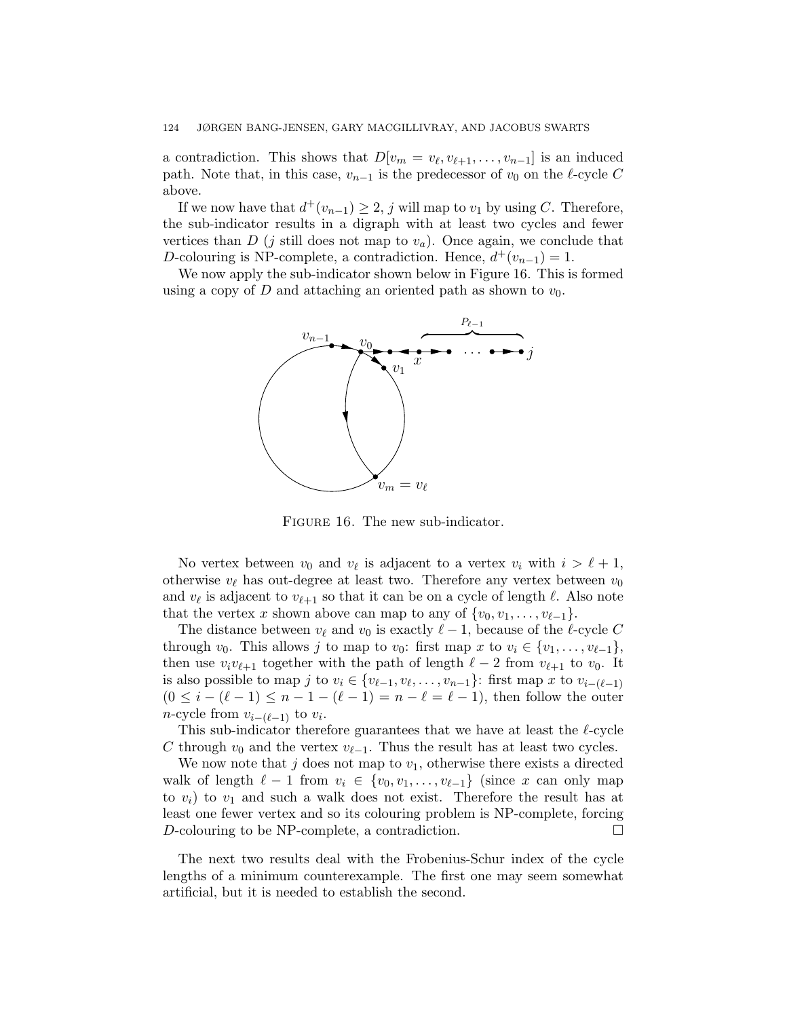a contradiction. This shows that  $D[v_m = v_\ell, v_{\ell+1}, \ldots, v_{n-1}]$  is an induced path. Note that, in this case,  $v_{n-1}$  is the predecessor of  $v_0$  on the  $\ell$ -cycle C above.

If we now have that  $d^+(v_{n-1}) \geq 2$ , j will map to  $v_1$  by using C. Therefore, the sub-indicator results in a digraph with at least two cycles and fewer vertices than  $D$  (j still does not map to  $v_a$ ). Once again, we conclude that D-colouring is NP-complete, a contradiction. Hence,  $d^+(v_{n-1}) = 1$ .

We now apply the sub-indicator shown below in Figure 16. This is formed using a copy of D and attaching an oriented path as shown to  $v_0$ .



FIGURE 16. The new sub-indicator.

No vertex between  $v_0$  and  $v_\ell$  is adjacent to a vertex  $v_i$  with  $i > \ell + 1$ , otherwise  $v_{\ell}$  has out-degree at least two. Therefore any vertex between  $v_0$ and  $v_{\ell}$  is adjacent to  $v_{\ell+1}$  so that it can be on a cycle of length  $\ell$ . Also note that the vertex x shown above can map to any of  $\{v_0, v_1, \ldots, v_{\ell-1}\}.$ 

The distance between  $v_{\ell}$  and  $v_0$  is exactly  $\ell - 1$ , because of the  $\ell$ -cycle C through  $v_0$ . This allows j to map to  $v_0$ : first map x to  $v_i \in \{v_1, \ldots, v_{\ell-1}\},$ then use  $v_i v_{\ell+1}$  together with the path of length  $\ell - 2$  from  $v_{\ell+1}$  to  $v_0$ . It is also possible to map j to  $v_i \in \{v_{\ell-1}, v_{\ell}, \ldots, v_{n-1}\}$ : first map x to  $v_{i-(\ell-1)}$  $(0 \leq i - (\ell - 1) \leq n - 1 - (\ell - 1) = n - \ell = \ell - 1)$ , then follow the outer *n*-cycle from  $v_{i-(\ell-1)}$  to  $v_i$ .

This sub-indicator therefore guarantees that we have at least the  $\ell$ -cycle C through  $v_0$  and the vertex  $v_{\ell-1}$ . Thus the result has at least two cycles.

We now note that j does not map to  $v_1$ , otherwise there exists a directed walk of length  $\ell - 1$  from  $v_i \in \{v_0, v_1, \ldots, v_{\ell-1}\}$  (since x can only map to  $v_i$ ) to  $v_1$  and such a walk does not exist. Therefore the result has at least one fewer vertex and so its colouring problem is NP-complete, forcing D-colouring to be NP-complete, a contradiction.

The next two results deal with the Frobenius-Schur index of the cycle lengths of a minimum counterexample. The first one may seem somewhat artificial, but it is needed to establish the second.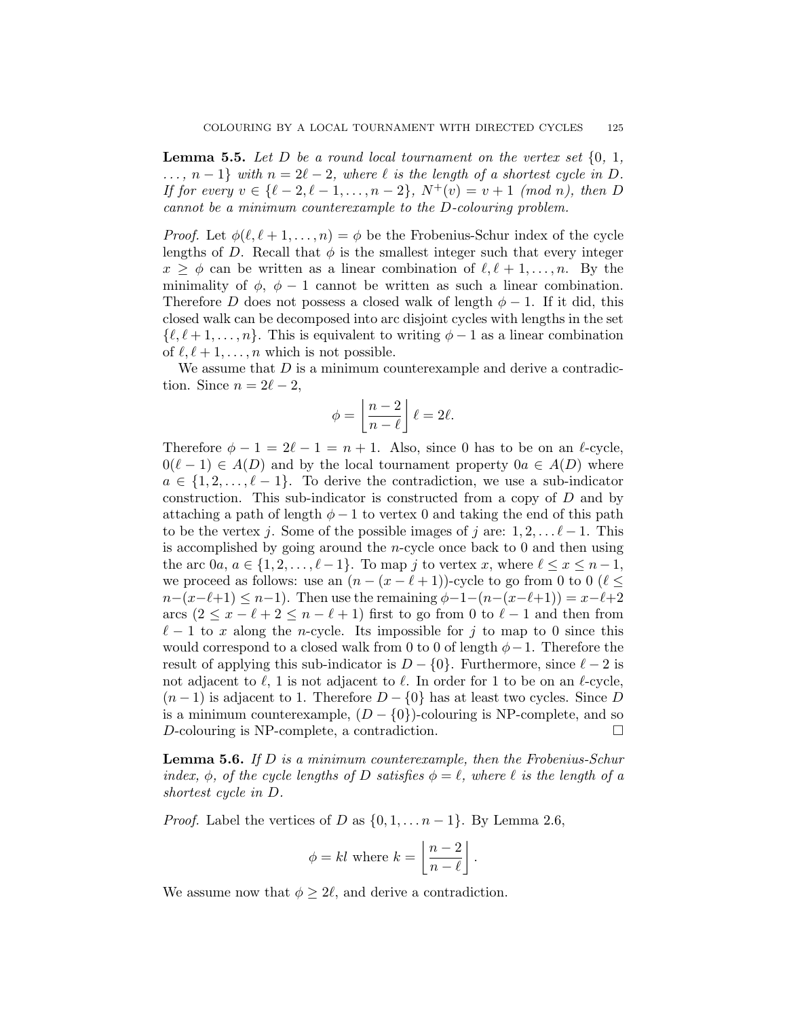**Lemma 5.5.** Let D be a round local tournament on the vertex set  $\{0, 1, \ldots\}$  $\ldots$ ,  $n-1$  with  $n=2\ell-2$ , where  $\ell$  is the length of a shortest cycle in D. If for every  $v \in {\ell - 2, \ell - 1, \ldots, n - 2}$ ,  $N^+(v) = v + 1 \pmod{n}$ , then D cannot be a minimum counterexample to the D-colouring problem.

*Proof.* Let  $\phi(\ell, \ell + 1, \ldots, n) = \phi$  be the Frobenius-Schur index of the cycle lengths of D. Recall that  $\phi$  is the smallest integer such that every integer  $x \ge \phi$  can be written as a linear combination of  $\ell, \ell + 1, \ldots, n$ . By the minimality of  $\phi$ ,  $\phi$  − 1 cannot be written as such a linear combination. Therefore D does not possess a closed walk of length  $\phi - 1$ . If it did, this closed walk can be decomposed into arc disjoint cycles with lengths in the set  $\{\ell, \ell + 1, \ldots, n\}.$  This is equivalent to writing  $\phi - 1$  as a linear combination of  $\ell, \ell + 1, \ldots, n$  which is not possible.

We assume that  $D$  is a minimum counterexample and derive a contradiction. Since  $n = 2\ell - 2$ ,

$$
\phi = \left\lfloor \frac{n-2}{n-\ell} \right\rfloor \ell = 2\ell.
$$

Therefore  $\phi - 1 = 2\ell - 1 = n + 1$ . Also, since 0 has to be on an  $\ell$ -cycle,  $0(\ell - 1) \in A(D)$  and by the local tournament property  $0a \in A(D)$  where  $a \in \{1, 2, \ldots, \ell - 1\}$ . To derive the contradiction, we use a sub-indicator construction. This sub-indicator is constructed from a copy of D and by attaching a path of length  $\phi - 1$  to vertex 0 and taking the end of this path to be the vertex j. Some of the possible images of j are:  $1, 2, \ldots \ell - 1$ . This is accomplished by going around the n-cycle once back to 0 and then using the arc  $0a, a \in \{1, 2, \ldots, \ell - 1\}$ . To map j to vertex x, where  $\ell \leq x \leq n - 1$ , we proceed as follows: use an  $(n - (x - \ell + 1))$ -cycle to go from 0 to 0 ( $\ell$  <  $n-(x-\ell+1) \leq n-1$ . Then use the remaining  $\phi-1-(n-(x-\ell+1)) = x-\ell+2$ arcs  $(2 \le x - \ell + 2 \le n - \ell + 1)$  first to go from 0 to  $\ell - 1$  and then from  $\ell - 1$  to x along the n-cycle. Its impossible for j to map to 0 since this would correspond to a closed walk from 0 to 0 of length  $\phi - 1$ . Therefore the result of applying this sub-indicator is  $D - \{0\}$ . Furthermore, since  $\ell - 2$  is not adjacent to  $\ell$ , 1 is not adjacent to  $\ell$ . In order for 1 to be on an  $\ell$ -cycle,  $(n-1)$  is adjacent to 1. Therefore  $D - \{0\}$  has at least two cycles. Since D is a minimum counterexample,  $(D - \{0\})$ -colouring is NP-complete, and so D-colouring is NP-complete, a contradiction.

**Lemma 5.6.** If D is a minimum counterexample, then the Frobenius-Schur index,  $\phi$ , of the cycle lengths of D satisfies  $\phi = \ell$ , where  $\ell$  is the length of a shortest cycle in D.

*Proof.* Label the vertices of D as  $\{0, 1, \ldots n-1\}$ . By Lemma 2.6,

$$
\phi = kl \text{ where } k = \left\lfloor \frac{n-2}{n-\ell} \right\rfloor.
$$

We assume now that  $\phi \geq 2\ell$ , and derive a contradiction.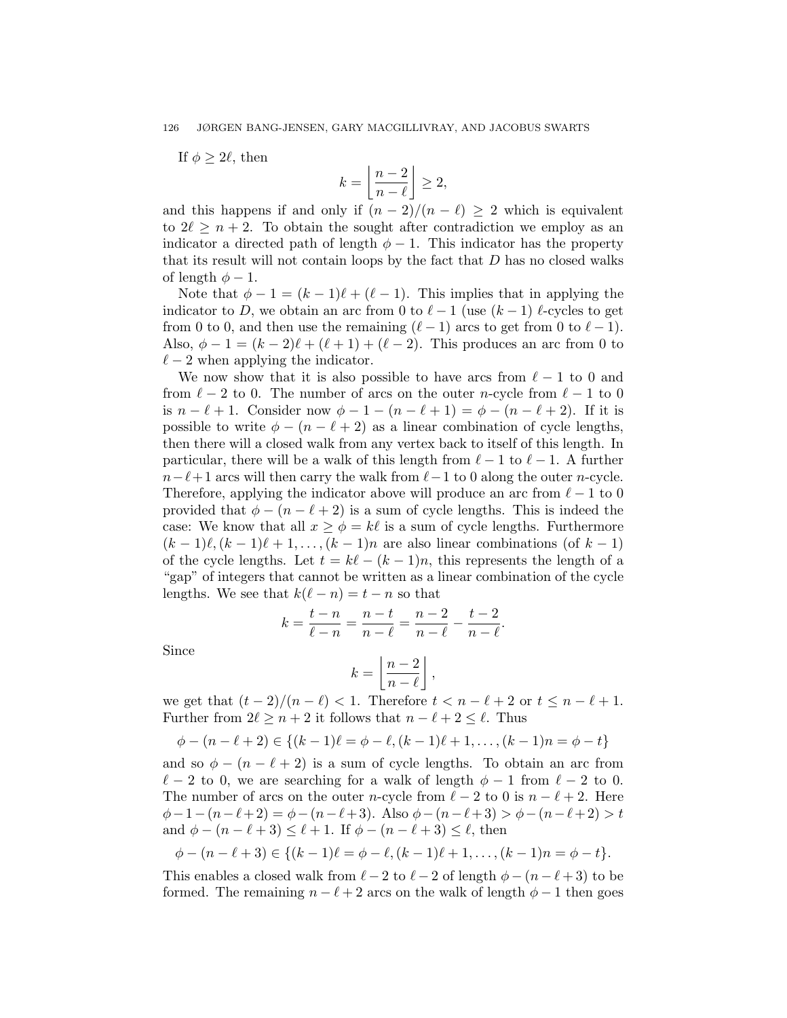If  $\phi > 2\ell$ , then

$$
k = \left\lfloor \frac{n-2}{n-\ell} \right\rfloor \ge 2,
$$

and this happens if and only if  $(n - 2)/(n - \ell) \geq 2$  which is equivalent to  $2\ell \geq n + 2$ . To obtain the sought after contradiction we employ as an indicator a directed path of length  $\phi - 1$ . This indicator has the property that its result will not contain loops by the fact that  $D$  has no closed walks of length  $\phi - 1$ .

Note that  $\phi - 1 = (k - 1)\ell + (\ell - 1)$ . This implies that in applying the indicator to D, we obtain an arc from 0 to  $\ell - 1$  (use  $(k - 1)$ )  $\ell$ -cycles to get from 0 to 0, and then use the remaining  $(\ell - 1)$  arcs to get from 0 to  $\ell - 1$ . Also,  $\phi - 1 = (k - 2)\ell + (\ell + 1) + (\ell - 2)$ . This produces an arc from 0 to  $\ell - 2$  when applying the indicator.

We now show that it is also possible to have arcs from  $\ell - 1$  to 0 and from  $\ell - 2$  to 0. The number of arcs on the outer n-cycle from  $\ell - 1$  to 0 is  $n - \ell + 1$ . Consider now  $\phi - 1 - (n - \ell + 1) = \phi - (n - \ell + 2)$ . If it is possible to write  $\phi - (n - \ell + 2)$  as a linear combination of cycle lengths, then there will a closed walk from any vertex back to itself of this length. In particular, there will be a walk of this length from  $\ell - 1$  to  $\ell - 1$ . A further  $n-\ell+1$  arcs will then carry the walk from  $\ell-1$  to 0 along the outer n-cycle. Therefore, applying the indicator above will produce an arc from  $\ell - 1$  to 0 provided that  $\phi - (n - \ell + 2)$  is a sum of cycle lengths. This is indeed the case: We know that all  $x \ge \phi = k\ell$  is a sum of cycle lengths. Furthermore  $(k-1)\ell,(k-1)\ell + 1,\ldots,(k-1)n$  are also linear combinations (of  $k-1$ ) of the cycle lengths. Let  $t = k\ell - (k-1)n$ , this represents the length of a "gap" of integers that cannot be written as a linear combination of the cycle lengths. We see that  $k(\ell - n) = t - n$  so that

$$
k = \frac{t - n}{\ell - n} = \frac{n - t}{n - \ell} = \frac{n - 2}{n - \ell} - \frac{t - 2}{n - \ell}.
$$

Since

$$
k = \left\lfloor \frac{n-2}{n-\ell} \right\rfloor,
$$

we get that  $(t - 2)/(n - \ell) < 1$ . Therefore  $t < n - \ell + 2$  or  $t \leq n - \ell + 1$ . Further from  $2\ell \geq n + 2$  it follows that  $n - \ell + 2 \leq \ell$ . Thus

$$
\phi - (n - \ell + 2) \in \{(k - 1)\ell = \phi - \ell, (k - 1)\ell + 1, \dots, (k - 1)n = \phi - t\}
$$

and so  $\phi - (n - \ell + 2)$  is a sum of cycle lengths. To obtain an arc from  $\ell - 2$  to 0, we are searching for a walk of length  $\phi - 1$  from  $\ell - 2$  to 0. The number of arcs on the outer n-cycle from  $\ell - 2$  to 0 is  $n - \ell + 2$ . Here  $\phi-1-(n-\ell+2) = \phi-(n-\ell+3)$ . Also  $\phi-(n-\ell+3) > \phi-(n-\ell+2) > t$ and  $\phi - (n - \ell + 3) \leq \ell + 1$ . If  $\phi - (n - \ell + 3) \leq \ell$ , then

$$
\phi - (n - \ell + 3) \in \{(k - 1)\ell = \phi - \ell, (k - 1)\ell + 1, \ldots, (k - 1)n = \phi - t\}.
$$

This enables a closed walk from  $\ell - 2$  to  $\ell - 2$  of length  $\phi - (n - \ell + 3)$  to be formed. The remaining  $n - \ell + 2$  arcs on the walk of length  $\phi - 1$  then goes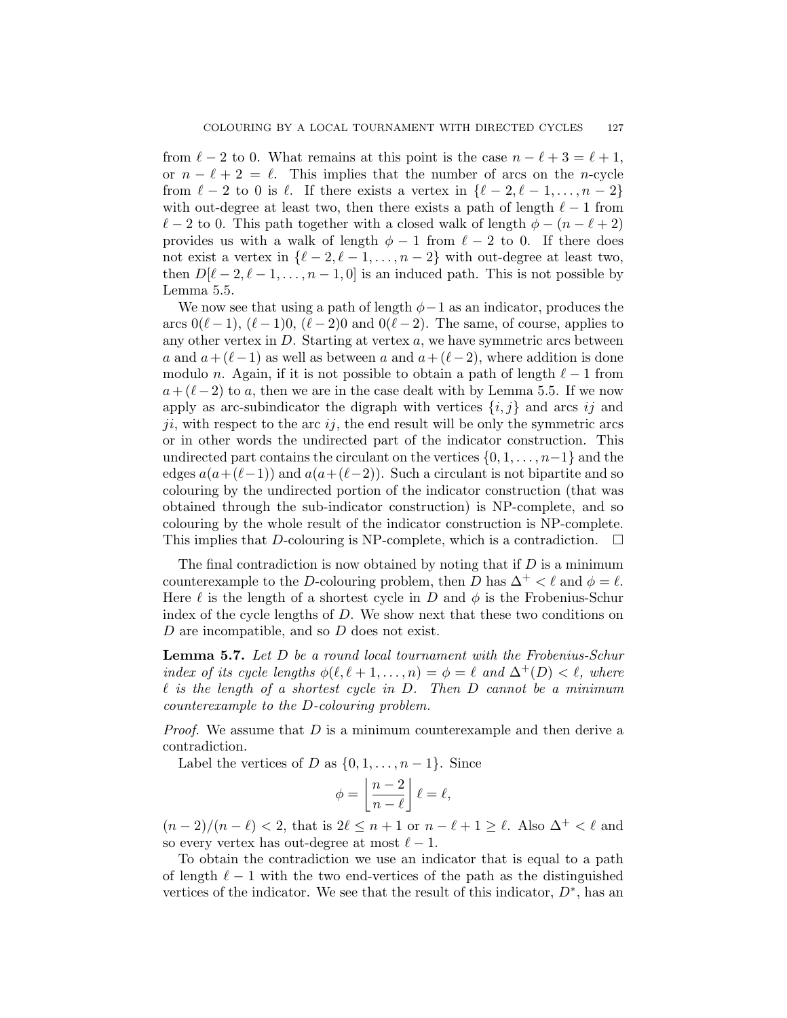from  $\ell - 2$  to 0. What remains at this point is the case  $n - \ell + 3 = \ell + 1$ , or  $n - \ell + 2 = \ell$ . This implies that the number of arcs on the n-cycle from  $\ell - 2$  to 0 is  $\ell$ . If there exists a vertex in  $\{\ell - 2, \ell - 1, \ldots, n - 2\}$ with out-degree at least two, then there exists a path of length  $\ell - 1$  from  $\ell - 2$  to 0. This path together with a closed walk of length  $\phi - (n - \ell + 2)$ provides us with a walk of length  $\phi - 1$  from  $\ell - 2$  to 0. If there does not exist a vertex in  $\{\ell - 2, \ell - 1, \ldots, n - 2\}$  with out-degree at least two, then  $D[\ell - 2, \ell - 1, \ldots, n - 1, 0]$  is an induced path. This is not possible by Lemma 5.5.

We now see that using a path of length  $\phi-1$  as an indicator, produces the arcs  $0(\ell - 1)$ ,  $(\ell - 1)0$ ,  $(\ell - 2)0$  and  $0(\ell - 2)$ . The same, of course, applies to any other vertex in  $D$ . Starting at vertex  $a$ , we have symmetric arcs between a and  $a + (\ell-1)$  as well as between a and  $a + (\ell-2)$ , where addition is done modulo n. Again, if it is not possible to obtain a path of length  $\ell - 1$  from  $a + (\ell-2)$  to a, then we are in the case dealt with by Lemma 5.5. If we now apply as arc-subindicator the digraph with vertices  $\{i, j\}$  and arcs ij and  $ji$ , with respect to the arc  $ij$ , the end result will be only the symmetric arcs or in other words the undirected part of the indicator construction. This undirected part contains the circulant on the vertices  $\{0, 1, \ldots, n-1\}$  and the edges  $a(a+(\ell-1))$  and  $a(a+(\ell-2))$ . Such a circulant is not bipartite and so colouring by the undirected portion of the indicator construction (that was obtained through the sub-indicator construction) is NP-complete, and so colouring by the whole result of the indicator construction is NP-complete. This implies that D-colouring is NP-complete, which is a contradiction.  $\Box$ 

The final contradiction is now obtained by noting that if  $D$  is a minimum counterexample to the D-colouring problem, then D has  $\Delta^+ < \ell$  and  $\phi = \ell$ . Here  $\ell$  is the length of a shortest cycle in D and  $\phi$  is the Frobenius-Schur index of the cycle lengths of D. We show next that these two conditions on D are incompatible, and so D does not exist.

Lemma 5.7. Let D be a round local tournament with the Frobenius-Schur index of its cycle lengths  $\phi(\ell, \ell + 1, \ldots, n) = \phi = \ell$  and  $\Delta^+(D) < \ell$ , where  $\ell$  is the length of a shortest cycle in D. Then D cannot be a minimum counterexample to the D-colouring problem.

*Proof.* We assume that  $D$  is a minimum counterexample and then derive a contradiction.

Label the vertices of D as  $\{0, 1, \ldots, n-1\}$ . Since

$$
\phi = \left\lfloor \frac{n-2}{n-\ell} \right\rfloor \ell = \ell,
$$

 $(n-2)/(n-\ell) < 2$ , that is  $2\ell \leq n+1$  or  $n-\ell+1 \geq \ell$ . Also  $\Delta^+ < \ell$  and so every vertex has out-degree at most  $\ell - 1$ .

To obtain the contradiction we use an indicator that is equal to a path of length  $\ell - 1$  with the two end-vertices of the path as the distinguished vertices of the indicator. We see that the result of this indicator,  $D^*$ , has an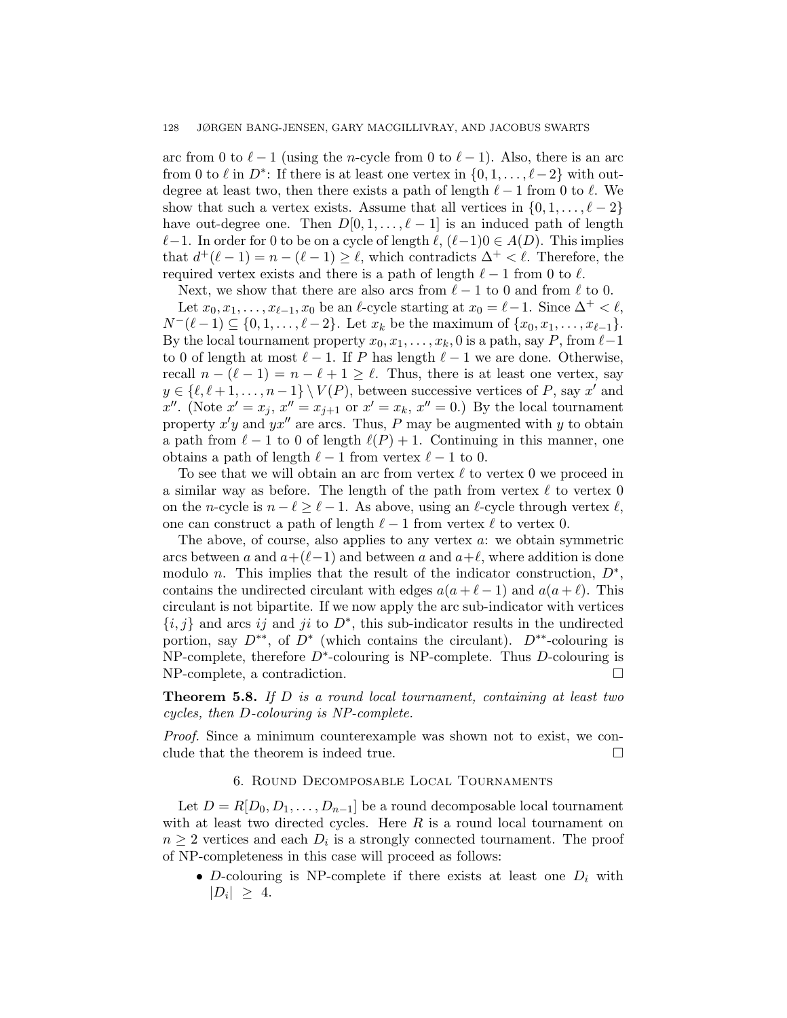arc from 0 to  $\ell - 1$  (using the n-cycle from 0 to  $\ell - 1$ ). Also, there is an arc from 0 to  $\ell$  in  $D^*$ : If there is at least one vertex in  $\{0, 1, \ldots, \ell - 2\}$  with outdegree at least two, then there exists a path of length  $\ell - 1$  from 0 to  $\ell$ . We show that such a vertex exists. Assume that all vertices in  $\{0, 1, \ldots, \ell - 2\}$ have out-degree one. Then  $D[0, 1, \ldots, \ell-1]$  is an induced path of length  $\ell-1$ . In order for 0 to be on a cycle of length  $\ell$ ,  $(\ell-1)0 \in A(D)$ . This implies that  $d^+(\ell - 1) = n - (\ell - 1) \geq \ell$ , which contradicts  $\Delta^+ < \ell$ . Therefore, the required vertex exists and there is a path of length  $\ell - 1$  from 0 to  $\ell$ .

Next, we show that there are also arcs from  $\ell - 1$  to 0 and from  $\ell$  to 0. Let  $x_0, x_1, \ldots, x_{\ell-1}, x_0$  be an  $\ell$ -cycle starting at  $x_0 = \ell - 1$ . Since  $\Delta^+ < \ell$ ,  $N^-(\ell - 1) \subseteq \{0, 1, \ldots, \ell - 2\}.$  Let  $x_k$  be the maximum of  $\{x_0, x_1, \ldots, x_{\ell-1}\}.$ By the local tournament property  $x_0, x_1, \ldots, x_k, 0$  is a path, say P, from  $\ell-1$ to 0 of length at most  $\ell - 1$ . If P has length  $\ell - 1$  we are done. Otherwise, recall  $n - (\ell - 1) = n - \ell + 1 \ge \ell$ . Thus, there is at least one vertex, say  $y \in \{\ell, \ell + 1, \ldots, n - 1\} \setminus V(P)$ , between successive vertices of P, say x' and x''. (Note  $x' = x_j$ ,  $x'' = x_{j+1}$  or  $x' = x_k$ ,  $x'' = 0$ .) By the local tournament property  $x'y$  and  $yx''$  are arcs. Thus, P may be augmented with y to obtain a path from  $\ell - 1$  to 0 of length  $\ell(P) + 1$ . Continuing in this manner, one obtains a path of length  $\ell - 1$  from vertex  $\ell - 1$  to 0.

To see that we will obtain an arc from vertex  $\ell$  to vertex 0 we proceed in a similar way as before. The length of the path from vertex  $\ell$  to vertex 0 on the n-cycle is  $n - \ell \geq \ell - 1$ . As above, using an  $\ell$ -cycle through vertex  $\ell$ , one can construct a path of length  $\ell - 1$  from vertex  $\ell$  to vertex 0.

The above, of course, also applies to any vertex  $a$ : we obtain symmetric arcs between a and  $a+(\ell-1)$  and between a and  $a+\ell$ , where addition is done modulo *n*. This implies that the result of the indicator construction,  $D^*$ , contains the undirected circulant with edges  $a(a + \ell - 1)$  and  $a(a + \ell)$ . This circulant is not bipartite. If we now apply the arc sub-indicator with vertices  $\{i, j\}$  and arcs ij and ji to  $D^*$ , this sub-indicator results in the undirected portion, say  $D^{**}$ , of  $D^*$  (which contains the circulant).  $D^{**}$ -colouring is NP-complete, therefore  $D^*$ -colouring is NP-complete. Thus D-colouring is NP-complete, a contradiction.

**Theorem 5.8.** If  $D$  is a round local tournament, containing at least two cycles, then D-colouring is NP-complete.

Proof. Since a minimum counterexample was shown not to exist, we conclude that the theorem is indeed true.

# 6. Round Decomposable Local Tournaments

Let  $D = R[D_0, D_1, \ldots, D_{n-1}]$  be a round decomposable local tournament with at least two directed cycles. Here  $R$  is a round local tournament on  $n \geq 2$  vertices and each  $D_i$  is a strongly connected tournament. The proof of NP-completeness in this case will proceed as follows:

• D-colouring is NP-complete if there exists at least one  $D_i$  with  $|D_i| \geq 4.$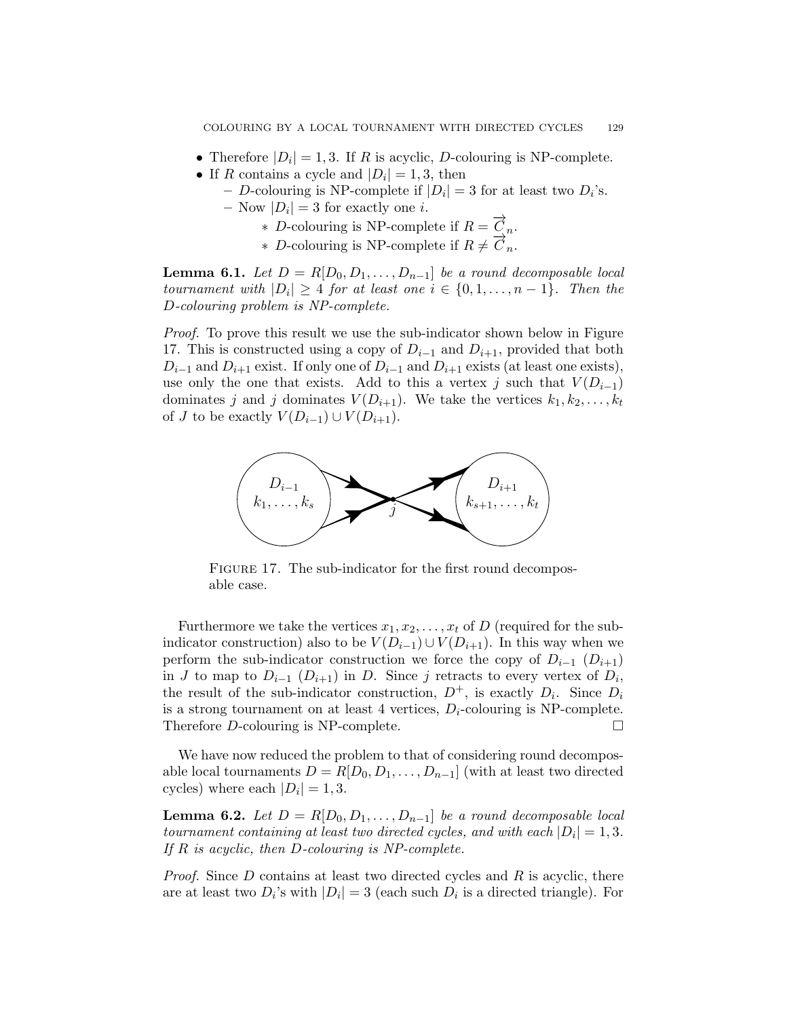- Therefore  $|D_i| = 1, 3$ . If R is acyclic, D-colouring is NP-complete.
- If R contains a cycle and  $|D_i|=1,3$ , then
	- D-colouring is NP-complete if  $|D_i| = 3$  for at least two  $D_i$ 's.
	- $-$  Now  $|D_i| = 3$  for exactly one *i*.
		- ∗ D-colouring is NP-complete if R = −→<sup>C</sup> <sup>n</sup>.
		- $\overline{P}$  Decoluring is NP-complete if  $R \neq \overline{C}_n$ .

**Lemma 6.1.** Let  $D = R[D_0, D_1, \ldots, D_{n-1}]$  be a round decomposable local tournament with  $|D_i| \geq 4$  for at least one  $i \in \{0, 1, \ldots, n-1\}$ . Then the D-colouring problem is NP-complete.

Proof. To prove this result we use the sub-indicator shown below in Figure 17. This is constructed using a copy of  $D_{i-1}$  and  $D_{i+1}$ , provided that both  $D_{i-1}$  and  $D_{i+1}$  exist. If only one of  $D_{i-1}$  and  $D_{i+1}$  exists (at least one exists), use only the one that exists. Add to this a vertex j such that  $V(D_{i-1})$ dominates j and j dominates  $V(D_{i+1})$ . We take the vertices  $k_1, k_2, \ldots, k_t$ of J to be exactly  $V(D_{i-1}) \cup V(D_{i+1}).$ 



FIGURE 17. The sub-indicator for the first round decomposable case.

Furthermore we take the vertices  $x_1, x_2, \ldots, x_t$  of D (required for the subindicator construction) also to be  $V(D_{i-1}) \cup V(D_{i+1})$ . In this way when we perform the sub-indicator construction we force the copy of  $D_{i-1}$  ( $D_{i+1}$ ) in J to map to  $D_{i-1}$   $(D_{i+1})$  in D. Since j retracts to every vertex of  $D_i$ , the result of the sub-indicator construction,  $D^+$ , is exactly  $D_i$ . Since  $D_i$ is a strong tournament on at least 4 vertices,  $D_i$ -colouring is NP-complete. Therefore D-colouring is NP-complete.

We have now reduced the problem to that of considering round decomposable local tournaments  $D = R[D_0, D_1, \ldots, D_{n-1}]$  (with at least two directed cycles) where each  $|D_i|=1,3$ .

**Lemma 6.2.** Let  $D = R[D_0, D_1, \ldots, D_{n-1}]$  be a round decomposable local tournament containing at least two directed cycles, and with each  $|D_i| = 1, 3$ . If  $R$  is acyclic, then  $D$ -colouring is NP-complete.

*Proof.* Since  $D$  contains at least two directed cycles and  $R$  is acyclic, there are at least two  $D_i$ 's with  $|D_i| = 3$  (each such  $D_i$  is a directed triangle). For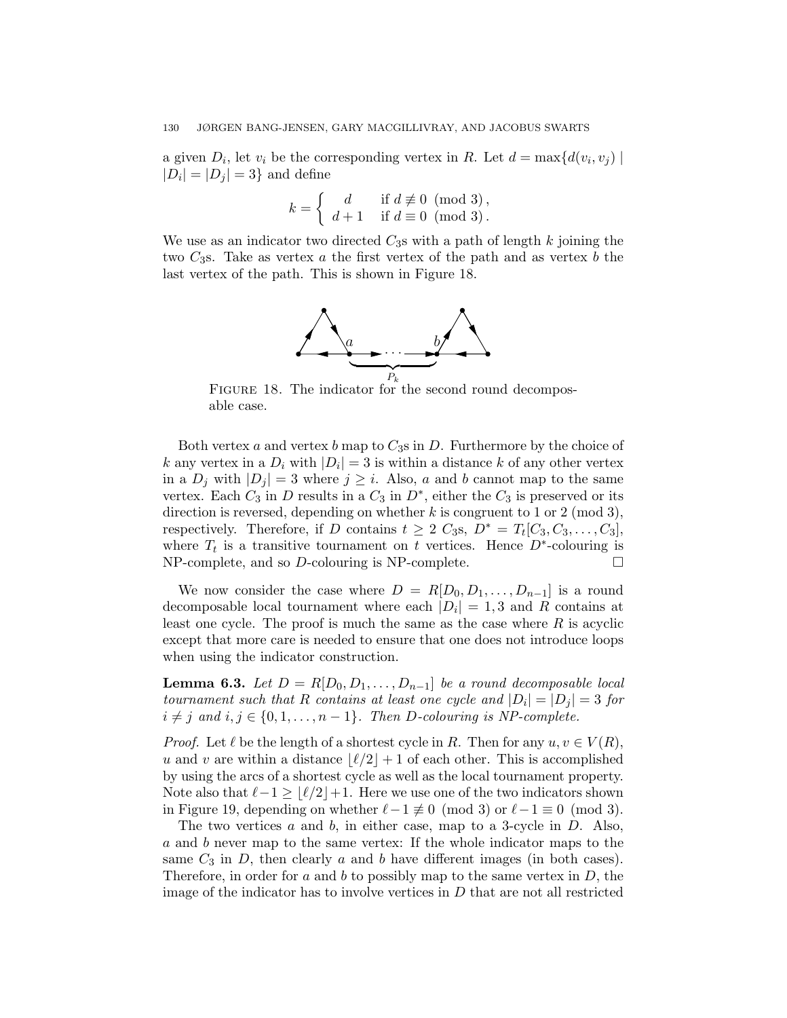a given  $D_i$ , let  $v_i$  be the corresponding vertex in R. Let  $d = \max\{d(v_i, v_j) \mid \}$  $|D_i| = |D_j| = 3$  and define

$$
k = \left\{ \begin{array}{ll} d & \text{if } d \not\equiv 0 \pmod{3}, \\ d+1 & \text{if } d \equiv 0 \pmod{3}. \end{array} \right.
$$

We use as an indicator two directed  $C_3$ s with a path of length k joining the two  $C_3$ s. Take as vertex a the first vertex of the path and as vertex b the last vertex of the path. This is shown in Figure 18.



FIGURE 18. The indicator for the second round decomposable case.

Both vertex a and vertex b map to  $C_3$ s in D. Furthermore by the choice of k any vertex in a  $D_i$  with  $|D_i| = 3$  is within a distance k of any other vertex in a  $D_j$  with  $|D_j| = 3$  where  $j \geq i$ . Also, a and b cannot map to the same vertex. Each  $C_3$  in D results in a  $C_3$  in  $D^*$ , either the  $C_3$  is preserved or its direction is reversed, depending on whether  $k$  is congruent to 1 or 2 (mod 3), respectively. Therefore, if D contains  $t \geq 2$   $C_3$ s,  $D^* = T_t[C_3, C_3, \ldots, C_3]$ , where  $T_t$  is a transitive tournament on t vertices. Hence  $D^*$ -colouring is  $NP$ -complete, and so  $D$ -colouring is  $NP$ -complete.  $\square$ 

We now consider the case where  $D = R[D_0, D_1, \ldots, D_{n-1}]$  is a round decomposable local tournament where each  $|D_i| = 1, 3$  and R contains at least one cycle. The proof is much the same as the case where  $R$  is acyclic except that more care is needed to ensure that one does not introduce loops when using the indicator construction.

**Lemma 6.3.** Let  $D = R[D_0, D_1, \ldots, D_{n-1}]$  be a round decomposable local tournament such that R contains at least one cycle and  $|D_i| = |D_j| = 3$  for  $i \neq j$  and  $i, j \in \{0, 1, \ldots, n-1\}$ . Then D-colouring is NP-complete.

*Proof.* Let  $\ell$  be the length of a shortest cycle in R. Then for any  $u, v \in V(R)$ , u and v are within a distance  $\lfloor \ell/2 \rfloor + 1$  of each other. This is accomplished by using the arcs of a shortest cycle as well as the local tournament property. Note also that  $\ell-1 \geq \lfloor \ell/2 \rfloor +1$ . Here we use one of the two indicators shown in Figure 19, depending on whether  $\ell-1 \not\equiv 0 \pmod{3}$  or  $\ell-1 \equiv 0 \pmod{3}$ .

The two vertices  $a$  and  $b$ , in either case, map to a 3-cycle in  $D$ . Also, a and b never map to the same vertex: If the whole indicator maps to the same  $C_3$  in D, then clearly a and b have different images (in both cases). Therefore, in order for  $a$  and  $b$  to possibly map to the same vertex in  $D$ , the image of the indicator has to involve vertices in  $D$  that are not all restricted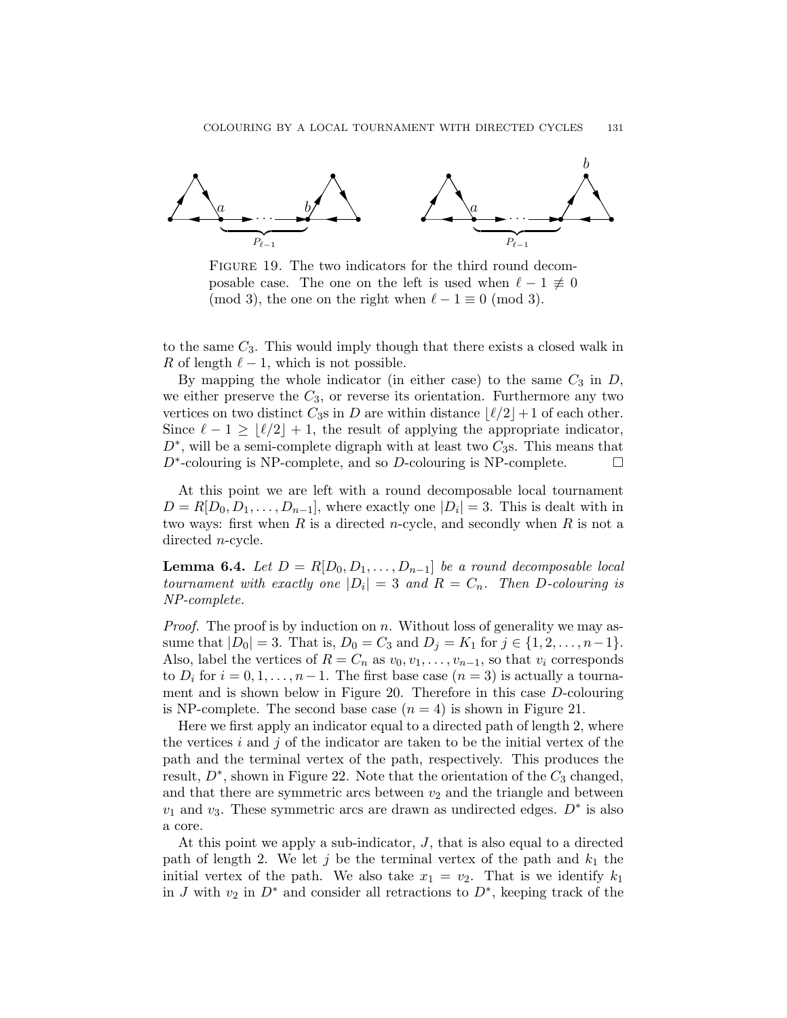

FIGURE 19. The two indicators for the third round decomposable case. The one on the left is used when  $\ell - 1 \neq 0$ (mod 3), the one on the right when  $\ell - 1 \equiv 0 \pmod{3}$ .

to the same  $C_3$ . This would imply though that there exists a closed walk in R of length  $\ell - 1$ , which is not possible.

By mapping the whole indicator (in either case) to the same  $C_3$  in  $D$ , we either preserve the  $C_3$ , or reverse its orientation. Furthermore any two vertices on two distinct  $C_3$ s in D are within distance  $\lfloor \ell/2 \rfloor + 1$  of each other. Since  $\ell - 1 \ge |\ell/2| + 1$ , the result of applying the appropriate indicator,  $D^*$ , will be a semi-complete digraph with at least two  $C_3$ s. This means that  $D^*$ -colouring is NP-complete, and so D-colouring is NP-complete.  $\Box$ 

At this point we are left with a round decomposable local tournament  $D = R[D_0, D_1, \ldots, D_{n-1}],$  where exactly one  $|D_i| = 3$ . This is dealt with in two ways: first when  $R$  is a directed *n*-cycle, and secondly when  $R$  is not a directed n-cycle.

**Lemma 6.4.** Let  $D = R[D_0, D_1, \ldots, D_{n-1}]$  be a round decomposable local tournament with exactly one  $|D_i| = 3$  and  $R = C_n$ . Then D-colouring is NP-complete.

*Proof.* The proof is by induction on  $n$ . Without loss of generality we may assume that  $|D_0| = 3$ . That is,  $D_0 = C_3$  and  $D_j = K_1$  for  $j \in \{1, 2, ..., n-1\}$ . Also, label the vertices of  $R = C_n$  as  $v_0, v_1, \ldots, v_{n-1}$ , so that  $v_i$  corresponds to  $D_i$  for  $i = 0, 1, \ldots, n-1$ . The first base case  $(n = 3)$  is actually a tournament and is shown below in Figure 20. Therefore in this case D-colouring is NP-complete. The second base case  $(n = 4)$  is shown in Figure 21.

Here we first apply an indicator equal to a directed path of length 2, where the vertices i and j of the indicator are taken to be the initial vertex of the path and the terminal vertex of the path, respectively. This produces the result,  $D^*$ , shown in Figure 22. Note that the orientation of the  $C_3$  changed, and that there are symmetric arcs between  $v_2$  and the triangle and between  $v_1$  and  $v_3$ . These symmetric arcs are drawn as undirected edges.  $D^*$  is also a core.

At this point we apply a sub-indicator, J, that is also equal to a directed path of length 2. We let j be the terminal vertex of the path and  $k_1$  the initial vertex of the path. We also take  $x_1 = v_2$ . That is we identify  $k_1$ in J with  $v_2$  in  $D^*$  and consider all retractions to  $D^*$ , keeping track of the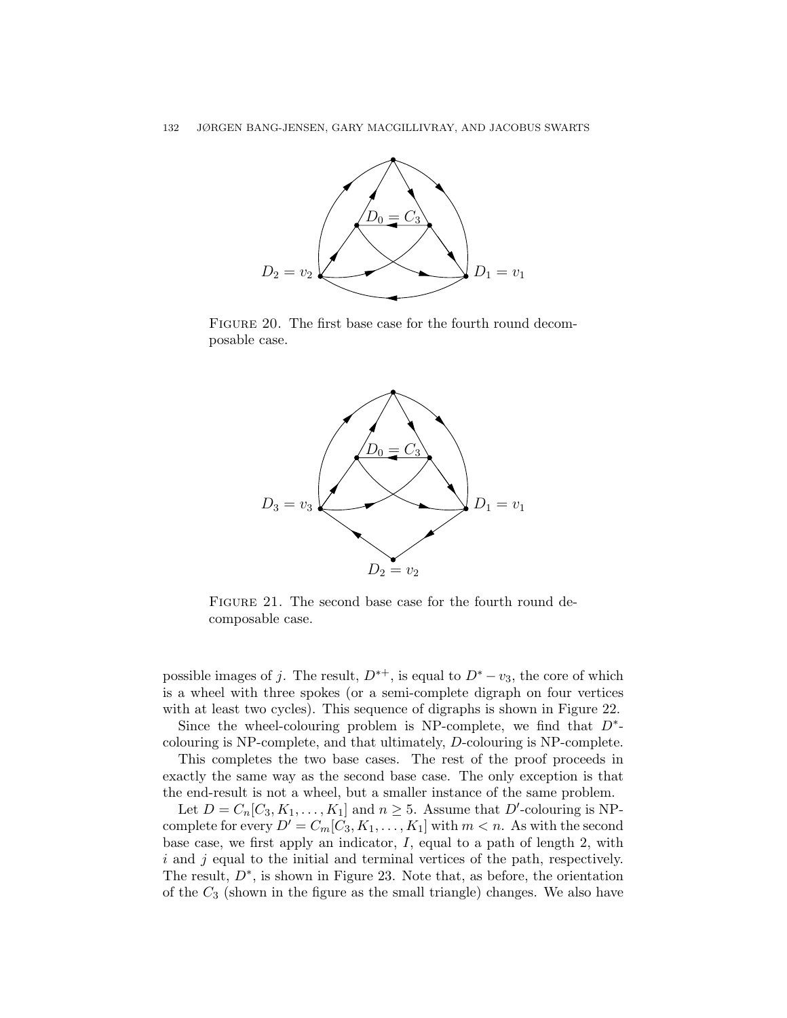

FIGURE 20. The first base case for the fourth round decomposable case.



FIGURE 21. The second base case for the fourth round decomposable case.

possible images of j. The result,  $D^{*+}$ , is equal to  $D^{*}-v_3$ , the core of which is a wheel with three spokes (or a semi-complete digraph on four vertices with at least two cycles). This sequence of digraphs is shown in Figure 22.

Since the wheel-colouring problem is NP-complete, we find that  $D^*$ colouring is NP-complete, and that ultimately, D-colouring is NP-complete.

This completes the two base cases. The rest of the proof proceeds in exactly the same way as the second base case. The only exception is that the end-result is not a wheel, but a smaller instance of the same problem.

Let  $D = C_n[C_3, K_1, \ldots, K_1]$  and  $n \geq 5$ . Assume that D'-colouring is NPcomplete for every  $D' = C_m[C_3, K_1, \ldots, K_1]$  with  $m < n$ . As with the second base case, we first apply an indicator,  $I$ , equal to a path of length 2, with  $i$  and  $j$  equal to the initial and terminal vertices of the path, respectively. The result,  $D^*$ , is shown in Figure 23. Note that, as before, the orientation of the  $C_3$  (shown in the figure as the small triangle) changes. We also have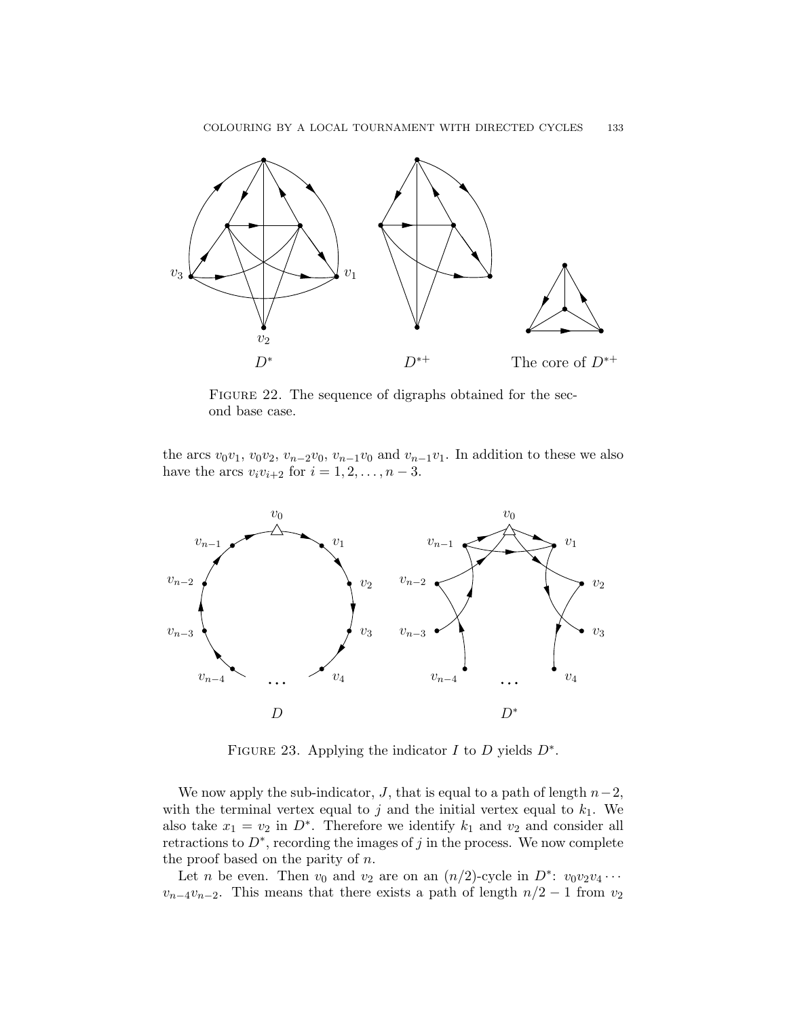

FIGURE 22. The sequence of digraphs obtained for the second base case.

the arcs  $v_0v_1$ ,  $v_0v_2$ ,  $v_{n-2}v_0$ ,  $v_{n-1}v_0$  and  $v_{n-1}v_1$ . In addition to these we also have the arcs  $v_i v_{i+2}$  for  $i = 1, 2, ..., n - 3$ .



FIGURE 23. Applying the indicator  $I$  to  $D$  yields  $D^*$ .

We now apply the sub-indicator, J, that is equal to a path of length  $n-2$ , with the terminal vertex equal to j and the initial vertex equal to  $k_1$ . We also take  $x_1 = v_2$  in  $D^*$ . Therefore we identify  $k_1$  and  $v_2$  and consider all retractions to  $D^*$ , recording the images of j in the process. We now complete the proof based on the parity of  $n$ .

Let *n* be even. Then  $v_0$  and  $v_2$  are on an  $(n/2)$ -cycle in  $D^*$ :  $v_0v_2v_4\cdots$  $v_{n-4}v_{n-2}$ . This means that there exists a path of length  $n/2-1$  from  $v_2$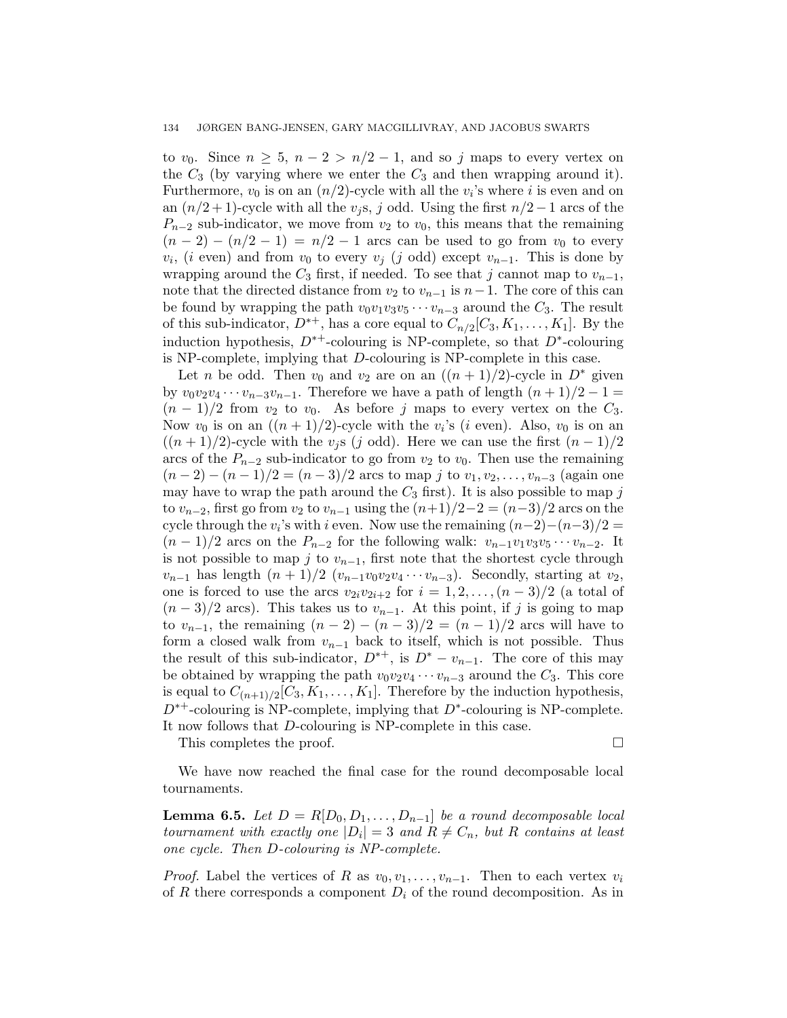to  $v_0$ . Since  $n \geq 5$ ,  $n-2 > n/2-1$ , and so j maps to every vertex on the  $C_3$  (by varying where we enter the  $C_3$  and then wrapping around it). Furthermore,  $v_0$  is on an  $(n/2)$ -cycle with all the  $v_i$ 's where i is even and on an  $(n/2+1)$ -cycle with all the  $v_j$ s, j odd. Using the first  $n/2-1$  arcs of the  $P_{n-2}$  sub-indicator, we move from  $v_2$  to  $v_0$ , this means that the remaining  $(n-2) - (n/2 - 1) = n/2 - 1$  arcs can be used to go from  $v_0$  to every  $v_i$ , (*i* even) and from  $v_0$  to every  $v_j$  (*j* odd) except  $v_{n-1}$ . This is done by wrapping around the  $C_3$  first, if needed. To see that j cannot map to  $v_{n-1}$ , note that the directed distance from  $v_2$  to  $v_{n-1}$  is  $n-1$ . The core of this can be found by wrapping the path  $v_0v_1v_3v_5\cdots v_{n-3}$  around the  $C_3$ . The result of this sub-indicator,  $D^{*+}$ , has a core equal to  $C_{n/2}[C_3, K_1, \ldots, K_1]$ . By the induction hypothesis,  $D^{*+}$ -colouring is NP-complete, so that  $D^*$ -colouring is NP-complete, implying that D-colouring is NP-complete in this case.

Let n be odd. Then  $v_0$  and  $v_2$  are on an  $((n+1)/2)$ -cycle in  $D^*$  given by  $v_0v_2v_4\cdots v_{n-3}v_{n-1}$ . Therefore we have a path of length  $(n+1)/2-1=$  $(n-1)/2$  from  $v_2$  to  $v_0$ . As before j maps to every vertex on the  $C_3$ . Now  $v_0$  is on an  $((n+1)/2)$ -cycle with the  $v_i$ 's  $(i$  even). Also,  $v_0$  is on an  $((n+1)/2)$ -cycle with the  $v_j$ s (j odd). Here we can use the first  $(n-1)/2$ arcs of the  $P_{n-2}$  sub-indicator to go from  $v_2$  to  $v_0$ . Then use the remaining  $(n-2)-(n-1)/2 = (n-3)/2$  arcs to map j to  $v_1, v_2, \ldots, v_{n-3}$  (again one may have to wrap the path around the  $C_3$  first). It is also possible to map j to  $v_{n-2}$ , first go from  $v_2$  to  $v_{n-1}$  using the  $(n+1)/2-2 = (n-3)/2$  arcs on the cycle through the  $v_i$ 's with i even. Now use the remaining  $(n-2)-(n-3)/2=$  $(n-1)/2$  arcs on the  $P_{n-2}$  for the following walk:  $v_{n-1}v_1v_3v_5\cdots v_{n-2}$ . It is not possible to map j to  $v_{n-1}$ , first note that the shortest cycle through  $v_{n-1}$  has length  $(n + 1)/2$   $(v_{n-1}v_0v_2v_4\cdots v_{n-3})$ . Secondly, starting at  $v_2$ , one is forced to use the arcs  $v_{2i}v_{2i+2}$  for  $i = 1, 2, \ldots, (n-3)/2$  (a total of  $(n-3)/2$  arcs). This takes us to  $v_{n-1}$ . At this point, if j is going to map to  $v_{n-1}$ , the remaining  $(n-2) - (n-3)/2 = (n-1)/2$  arcs will have to form a closed walk from  $v_{n-1}$  back to itself, which is not possible. Thus the result of this sub-indicator,  $D^{*+}$ , is  $D^{*} - v_{n-1}$ . The core of this may be obtained by wrapping the path  $v_0v_2v_4 \cdots v_{n-3}$  around the  $C_3$ . This core is equal to  $C_{(n+1)/2}[C_3, K_1, \ldots, K_1]$ . Therefore by the induction hypothesis,  $D^{*+}$ -colouring is NP-complete, implying that  $D^*$ -colouring is NP-complete. It now follows that D-colouring is NP-complete in this case.

This completes the proof.

We have now reached the final case for the round decomposable local tournaments.

**Lemma 6.5.** Let  $D = R[D_0, D_1, \ldots, D_{n-1}]$  be a round decomposable local tournament with exactly one  $|D_i|=3$  and  $R \neq C_n$ , but R contains at least one cycle. Then D-colouring is NP-complete.

*Proof.* Label the vertices of R as  $v_0, v_1, \ldots, v_{n-1}$ . Then to each vertex  $v_i$ of R there corresponds a component  $D_i$  of the round decomposition. As in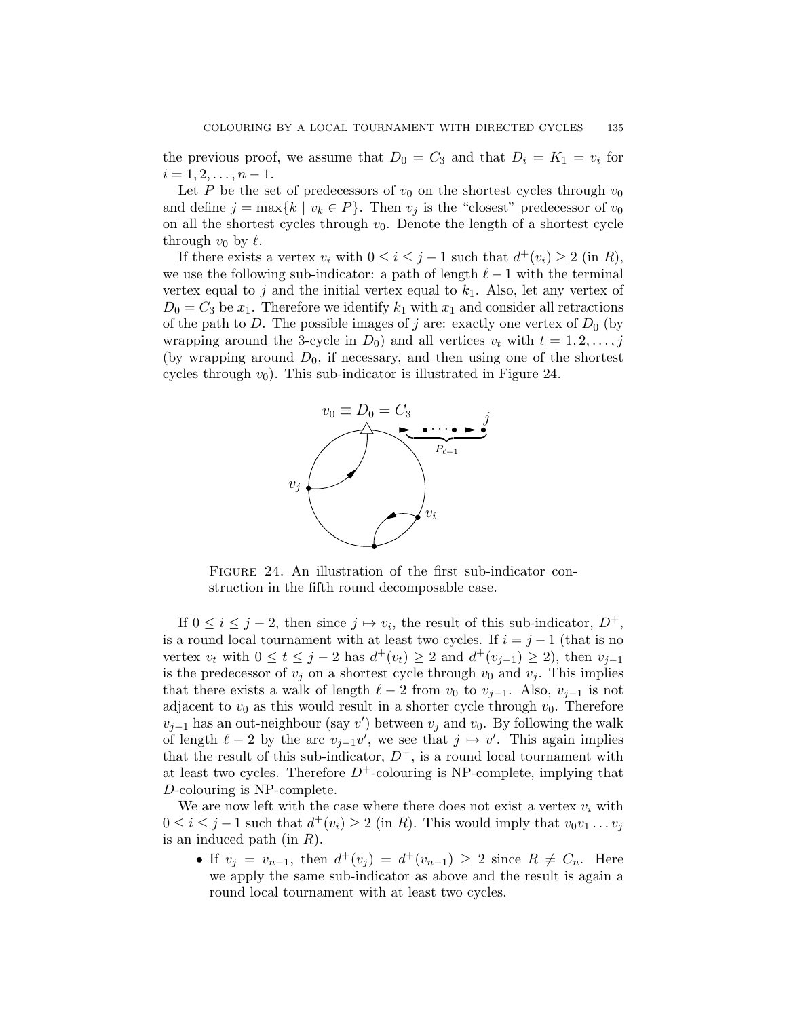the previous proof, we assume that  $D_0 = C_3$  and that  $D_i = K_1 = v_i$  for  $i = 1, 2, \ldots, n - 1.$ 

Let P be the set of predecessors of  $v_0$  on the shortest cycles through  $v_0$ and define  $j = \max\{k \mid v_k \in P\}$ . Then  $v_j$  is the "closest" predecessor of  $v_0$ on all the shortest cycles through  $v_0$ . Denote the length of a shortest cycle through  $v_0$  by  $\ell$ .

If there exists a vertex  $v_i$  with  $0 \le i \le j-1$  such that  $d^+(v_i) \ge 2$  (in  $R$ ), we use the following sub-indicator: a path of length  $\ell - 1$  with the terminal vertex equal to j and the initial vertex equal to  $k_1$ . Also, let any vertex of  $D_0 = C_3$  be  $x_1$ . Therefore we identify  $k_1$  with  $x_1$  and consider all retractions of the path to D. The possible images of j are: exactly one vertex of  $D_0$  (by wrapping around the 3-cycle in  $D_0$ ) and all vertices  $v_t$  with  $t = 1, 2, \ldots, j$ (by wrapping around  $D_0$ , if necessary, and then using one of the shortest cycles through  $v_0$ ). This sub-indicator is illustrated in Figure 24.

![](_page_34_Figure_4.jpeg)

FIGURE 24. An illustration of the first sub-indicator construction in the fifth round decomposable case.

If  $0 \leq i \leq j-2$ , then since  $j \mapsto v_i$ , the result of this sub-indicator,  $D^+$ , is a round local tournament with at least two cycles. If  $i = j - 1$  (that is no vertex  $v_t$  with  $0 \le t \le j - 2$  has  $d^+(v_t) \ge 2$  and  $d^+(v_{j-1}) \ge 2$ , then  $v_{j-1}$ is the predecessor of  $v_i$  on a shortest cycle through  $v_0$  and  $v_i$ . This implies that there exists a walk of length  $\ell - 2$  from  $v_0$  to  $v_{i-1}$ . Also,  $v_{i-1}$  is not adjacent to  $v_0$  as this would result in a shorter cycle through  $v_0$ . Therefore  $v_{j-1}$  has an out-neighbour (say v') between  $v_j$  and  $v_0$ . By following the walk of length  $\ell - 2$  by the arc  $v_{j-1}v'$ , we see that  $j \mapsto v'$ . This again implies that the result of this sub-indicator,  $D^+$ , is a round local tournament with at least two cycles. Therefore  $D^+$ -colouring is NP-complete, implying that D-colouring is NP-complete.

We are now left with the case where there does not exist a vertex  $v_i$  with  $0 \leq i \leq j-1$  such that  $d^+(v_i) \geq 2$  (in R). This would imply that  $v_0v_1 \ldots v_j$ is an induced path (in  $R$ ).

• If  $v_j = v_{n-1}$ , then  $d^+(v_j) = d^+(v_{n-1}) \geq 2$  since  $R \neq C_n$ . Here we apply the same sub-indicator as above and the result is again a round local tournament with at least two cycles.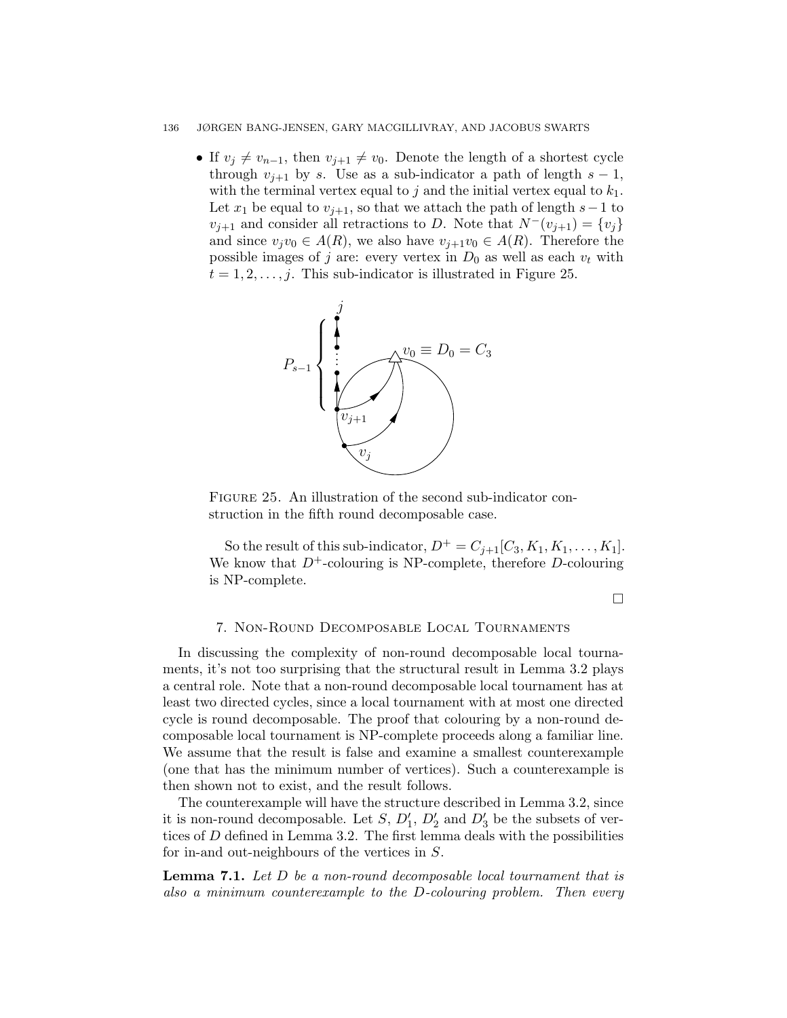#### 136 JØRGEN BANG-JENSEN, GARY MACGILLIVRAY, AND JACOBUS SWARTS

• If  $v_j \neq v_{n-1}$ , then  $v_{j+1} \neq v_0$ . Denote the length of a shortest cycle through  $v_{i+1}$  by s. Use as a sub-indicator a path of length  $s-1$ , with the terminal vertex equal to j and the initial vertex equal to  $k_1$ . Let  $x_1$  be equal to  $v_{j+1}$ , so that we attach the path of length  $s-1$  to  $v_{j+1}$  and consider all retractions to D. Note that  $N^-(v_{j+1}) = \{v_j\}$ and since  $v_jv_0 \in A(R)$ , we also have  $v_{j+1}v_0 \in A(R)$ . Therefore the possible images of j are: every vertex in  $D_0$  as well as each  $v_t$  with  $t = 1, 2, \ldots, j$ . This sub-indicator is illustrated in Figure 25.

![](_page_35_Figure_2.jpeg)

FIGURE 25. An illustration of the second sub-indicator construction in the fifth round decomposable case.

So the result of this sub-indicator,  $D^+ = C_{j+1}[C_3, K_1, K_1, \ldots, K_1]$ . We know that  $D^+$ -colouring is NP-complete, therefore D-colouring is NP-complete.

 $\Box$ 

# 7. Non-Round Decomposable Local Tournaments

In discussing the complexity of non-round decomposable local tournaments, it's not too surprising that the structural result in Lemma 3.2 plays a central role. Note that a non-round decomposable local tournament has at least two directed cycles, since a local tournament with at most one directed cycle is round decomposable. The proof that colouring by a non-round decomposable local tournament is NP-complete proceeds along a familiar line. We assume that the result is false and examine a smallest counterexample (one that has the minimum number of vertices). Such a counterexample is then shown not to exist, and the result follows.

The counterexample will have the structure described in Lemma 3.2, since it is non-round decomposable. Let  $S$ ,  $D'_1$ ,  $D'_2$  and  $D'_3$  be the subsets of vertices of  $D$  defined in Lemma 3.2. The first lemma deals with the possibilities for in-and out-neighbours of the vertices in S.

**Lemma 7.1.** Let  $D$  be a non-round decomposable local tournament that is also a minimum counterexample to the D-colouring problem. Then every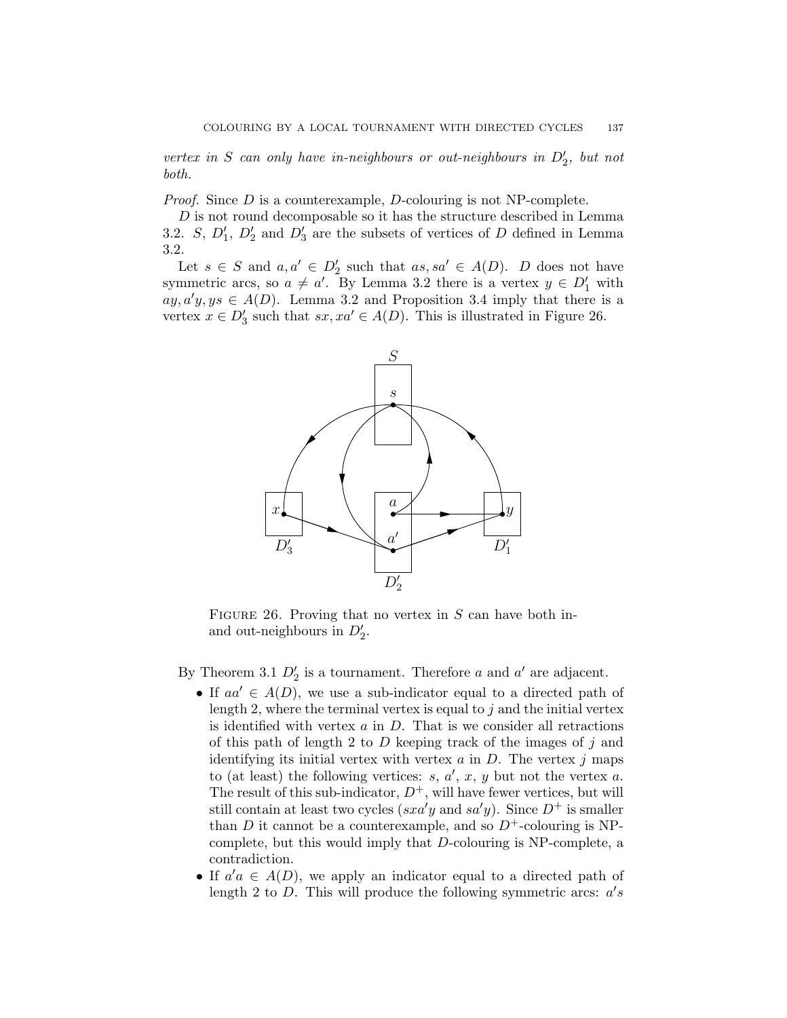vertex in S can only have in-neighbours or out-neighbours in  $D'_2$ , but not both.

*Proof.* Since  $D$  is a counterexample,  $D$ -colouring is not NP-complete.

D is not round decomposable so it has the structure described in Lemma 3.2. S,  $D'_1$ ,  $D'_2$  and  $D'_3$  are the subsets of vertices of D defined in Lemma 3.2.

Let  $s \in S$  and  $a, a' \in D'_2$  such that  $as, sa' \in A(D)$ . D does not have symmetric arcs, so  $a \neq a'$ . By Lemma 3.2 there is a vertex  $y \in D'_1$  with  $ay, a'y, ys \in A(D)$ . Lemma 3.2 and Proposition 3.4 imply that there is a vertex  $x \in D'_3$  such that  $sx, xa' \in A(D)$ . This is illustrated in Figure 26.

![](_page_36_Figure_5.jpeg)

FIGURE 26. Proving that no vertex in  $S$  can have both inand out-neighbours in  $D'_2$ .

By Theorem 3.1  $D'_2$  is a tournament. Therefore a and a' are adjacent.

- If  $aa' \in A(D)$ , we use a sub-indicator equal to a directed path of length 2, where the terminal vertex is equal to  $j$  and the initial vertex is identified with vertex  $a$  in  $D$ . That is we consider all retractions of this path of length 2 to  $D$  keeping track of the images of  $j$  and identifying its initial vertex with vertex  $a$  in  $D$ . The vertex  $j$  maps to (at least) the following vertices:  $s, a', x, y$  but not the vertex  $a$ . The result of this sub-indicator,  $D^+$ , will have fewer vertices, but will still contain at least two cycles ( $sxa'y$  and  $sa'y$ ). Since  $D^+$  is smaller than D it cannot be a counterexample, and so  $D^+$ -colouring is NPcomplete, but this would imply that D-colouring is NP-complete, a contradiction.
- If  $a'a \in A(D)$ , we apply an indicator equal to a directed path of length 2 to  $D$ . This will produce the following symmetric arcs:  $a's$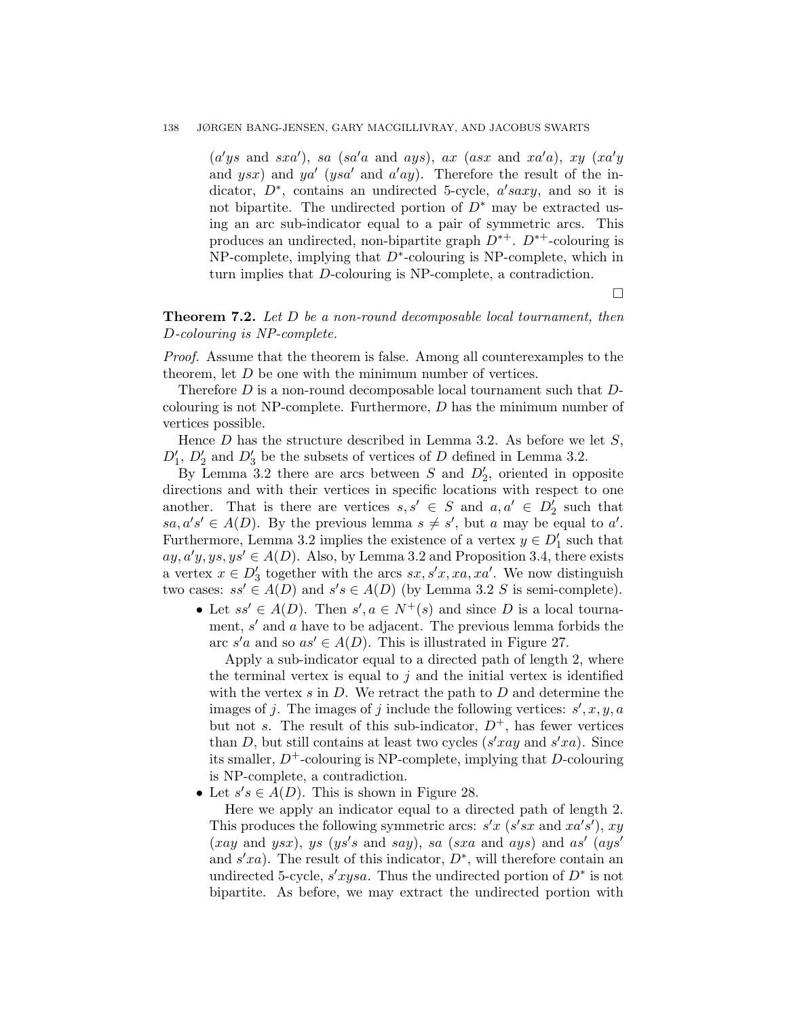# 138 JØRGEN BANG-JENSEN, GARY MACGILLIVRAY, AND JACOBUS SWARTS

 $(a'ys \text{ and } sxa')$ , sa (sa'a and ays), ax (asx and xa'a), xy (xa'y and ysx) and ya' (ysa' and a'ay). Therefore the result of the indicator,  $D^*$ , contains an undirected 5-cycle,  $a'saxy$ , and so it is not bipartite. The undirected portion of  $D^*$  may be extracted using an arc sub-indicator equal to a pair of symmetric arcs. This produces an undirected, non-bipartite graph  $D^{*+}$ .  $D^{*+}$ -colouring is  $NP$ -complete, implying that  $D^*$ -colouring is NP-complete, which in turn implies that D-colouring is NP-complete, a contradiction.

 $\Box$ 

# Theorem 7.2. Let D be a non-round decomposable local tournament, then D-colouring is NP-complete.

Proof. Assume that the theorem is false. Among all counterexamples to the theorem, let D be one with the minimum number of vertices.

Therefore  $D$  is a non-round decomposable local tournament such that  $D$ colouring is not NP-complete. Furthermore, D has the minimum number of vertices possible.

Hence  $D$  has the structure described in Lemma 3.2. As before we let  $S$ ,  $D'_1$ ,  $D'_2$  and  $D'_3$  be the subsets of vertices of D defined in Lemma 3.2.

By Lemma 3.2 there are arcs between S and  $D'_2$ , oriented in opposite directions and with their vertices in specific locations with respect to one another. That is there are vertices  $s, s' \in S$  and  $a, a' \in D'_2$  such that  $sa, a's' \in A(D)$ . By the previous lemma  $s \neq s'$ , but a may be equal to a'. Furthermore, Lemma 3.2 implies the existence of a vertex  $y \in D'_1$  such that  $ay, a'y, ys, ys' \in A(D)$ . Also, by Lemma 3.2 and Proposition 3.4, there exists a vertex  $x \in D'_3$  together with the arcs  $sx, s'x, xa, xa'$ . We now distinguish two cases:  $ss' \in A(D)$  and  $s's \in A(D)$  (by Lemma 3.2 S is semi-complete).

• Let  $ss' \in A(D)$ . Then  $s', a \in N^+(s)$  and since D is a local tournament,  $s'$  and  $a$  have to be adjacent. The previous lemma forbids the arc  $s'a$  and so  $as' \in A(D)$ . This is illustrated in Figure 27.

Apply a sub-indicator equal to a directed path of length 2, where the terminal vertex is equal to  $j$  and the initial vertex is identified with the vertex  $s$  in  $D$ . We retract the path to  $D$  and determine the images of j. The images of j include the following vertices:  $s', x, y, a$ but not s. The result of this sub-indicator,  $D^+$ , has fewer vertices than D, but still contains at least two cycles  $(s'xay$  and  $s'xa)$ . Since its smaller,  $D^+$ -colouring is NP-complete, implying that D-colouring is NP-complete, a contradiction.

• Let  $s's \in A(D)$ . This is shown in Figure 28.

Here we apply an indicator equal to a directed path of length 2. This produces the following symmetric arcs:  $s'x$  ( $s'sx$  and  $xa's'$ ),  $xy$  $(xay \text{ and } ysx), ys (ys's \text{ and } say), sa (sxa \text{ and }ays) \text{ and } as'(ays')$ and  $s'xa$ ). The result of this indicator,  $D^*$ , will therefore contain an undirected 5-cycle,  $s'xysa$ . Thus the undirected portion of  $D^*$  is not bipartite. As before, we may extract the undirected portion with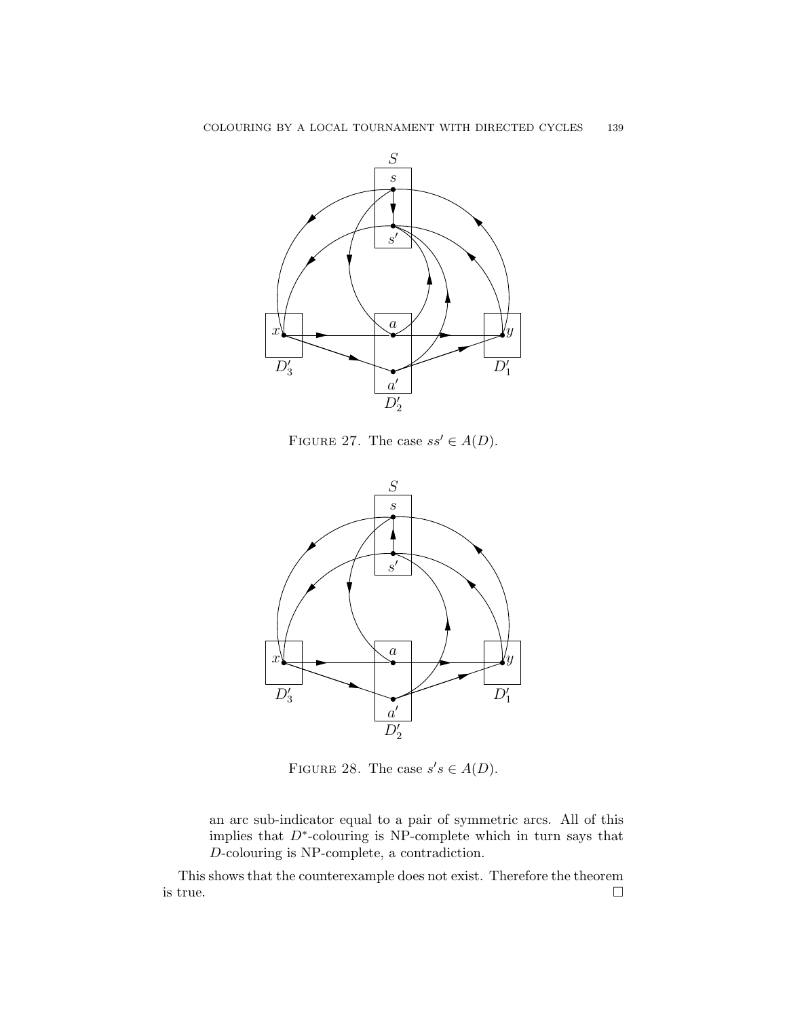![](_page_38_Figure_1.jpeg)

FIGURE 27. The case  $ss' \in A(D)$ .

![](_page_38_Figure_3.jpeg)

FIGURE 28. The case  $s's \in A(D)$ .

an arc sub-indicator equal to a pair of symmetric arcs. All of this implies that  $D^*$ -colouring is NP-complete which in turn says that D-colouring is NP-complete, a contradiction.

This shows that the counterexample does not exist. Therefore the theorem is true.  $\Box$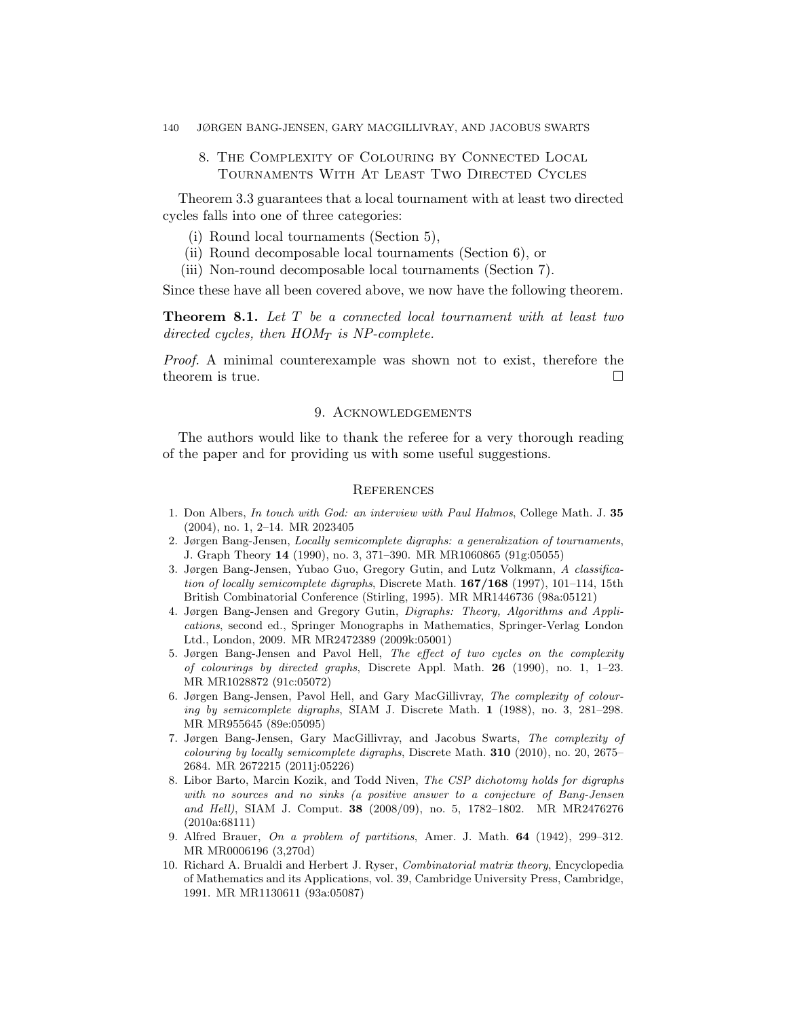#### 140 JØRGEN BANG-JENSEN, GARY MACGILLIVRAY, AND JACOBUS SWARTS

# 8. The Complexity of Colouring by Connected Local Tournaments With At Least Two Directed Cycles

Theorem 3.3 guarantees that a local tournament with at least two directed cycles falls into one of three categories:

- (i) Round local tournaments (Section 5),
- (ii) Round decomposable local tournaments (Section 6), or
- (iii) Non-round decomposable local tournaments (Section 7).

Since these have all been covered above, we now have the following theorem.

Theorem 8.1. Let T be a connected local tournament with at least two directed cycles, then  $HOM_T$  is NP-complete.

Proof. A minimal counterexample was shown not to exist, therefore the theorem is true.

### 9. Acknowledgements

The authors would like to thank the referee for a very thorough reading of the paper and for providing us with some useful suggestions.

#### **REFERENCES**

- 1. Don Albers, In touch with God: an interview with Paul Halmos, College Math. J. 35 (2004), no. 1, 2–14. MR 2023405
- 2. Jørgen Bang-Jensen, Locally semicomplete digraphs: a generalization of tournaments, J. Graph Theory 14 (1990), no. 3, 371–390. MR MR1060865 (91g:05055)
- 3. Jørgen Bang-Jensen, Yubao Guo, Gregory Gutin, and Lutz Volkmann, A classification of locally semicomplete digraphs, Discrete Math. 167/168 (1997), 101–114, 15th British Combinatorial Conference (Stirling, 1995). MR MR1446736 (98a:05121)
- 4. Jørgen Bang-Jensen and Gregory Gutin, Digraphs: Theory, Algorithms and Applications, second ed., Springer Monographs in Mathematics, Springer-Verlag London Ltd., London, 2009. MR MR2472389 (2009k:05001)
- 5. Jørgen Bang-Jensen and Pavol Hell, The effect of two cycles on the complexity of colourings by directed graphs, Discrete Appl. Math. **26** (1990), no. 1, 1–23. MR MR1028872 (91c:05072)
- 6. Jørgen Bang-Jensen, Pavol Hell, and Gary MacGillivray, The complexity of colouring by semicomplete digraphs, SIAM J. Discrete Math. 1 (1988), no. 3, 281–298. MR MR955645 (89e:05095)
- 7. Jørgen Bang-Jensen, Gary MacGillivray, and Jacobus Swarts, The complexity of *colouring by locally semicomplete digraphs*, Discrete Math. **310** (2010), no. 20, 2675– 2684. MR 2672215 (2011j:05226)
- 8. Libor Barto, Marcin Kozik, and Todd Niven, The CSP dichotomy holds for digraphs with no sources and no sinks (a positive answer to a conjecture of Bang-Jensen and Hell), SIAM J. Comput. 38 (2008/09), no. 5, 1782–1802. MR MR2476276 (2010a:68111)
- 9. Alfred Brauer, On a problem of partitions, Amer. J. Math. 64 (1942), 299–312. MR MR0006196 (3,270d)
- 10. Richard A. Brualdi and Herbert J. Ryser, Combinatorial matrix theory, Encyclopedia of Mathematics and its Applications, vol. 39, Cambridge University Press, Cambridge, 1991. MR MR1130611 (93a:05087)